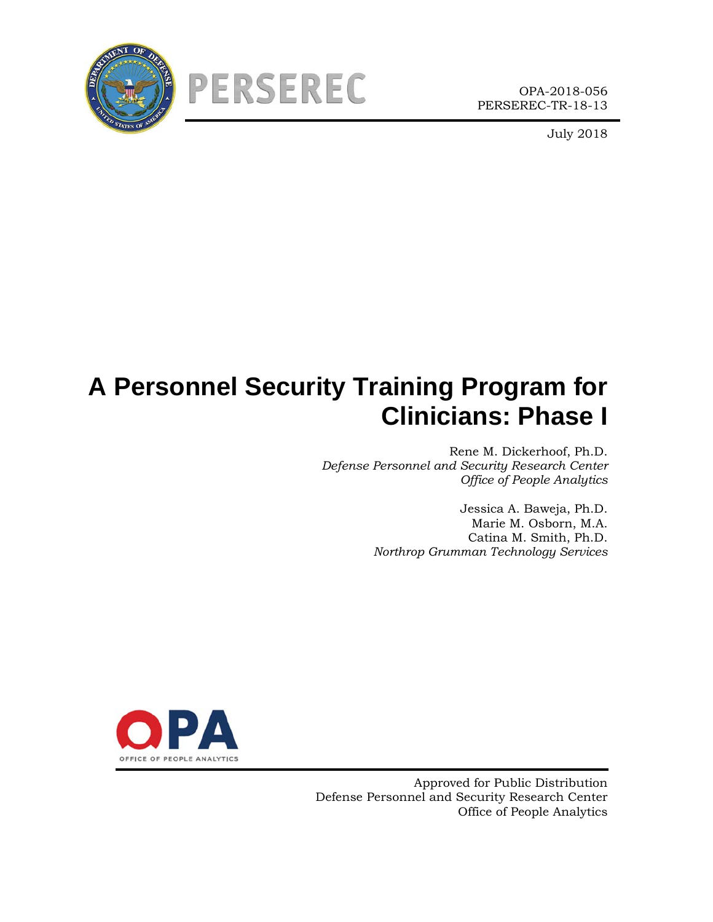



OPA-2018-056 PERSEREC-TR-18-13

July 2018

# **A Personnel Security Training Program for Clinicians: Phase I**

Rene M. Dickerhoof, Ph.D. *Defense Personnel and Security Research Center Office of People Analytics*

> Jessica A. Baweja, Ph.D. Marie M. Osborn, M.A. Catina M. Smith, Ph.D. *Northrop Grumman Technology Services*



Approved for Public Distribution Defense Personnel and Security Research Center Office of People Analytics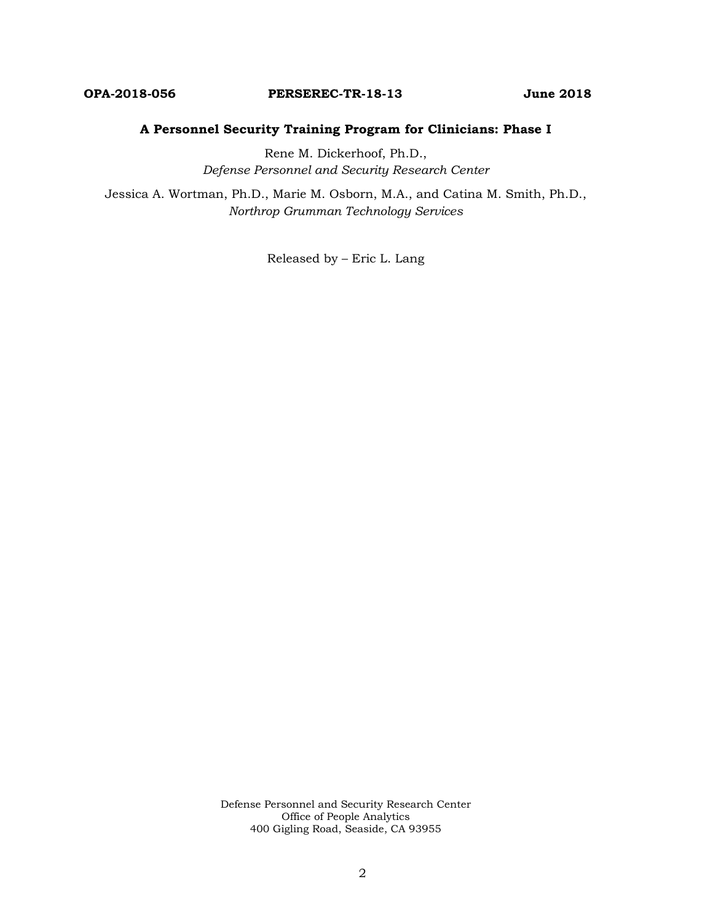#### **OPA-2018-056 PERSEREC-TR-18-13 June 2018**

#### **A Personnel Security Training Program for Clinicians: Phase I**

Rene M. Dickerhoof, Ph.D., *Defense Personnel and Security Research Center*

Jessica A. Wortman, Ph.D., Marie M. Osborn, M.A., and Catina M. Smith, Ph.D., *Northrop Grumman Technology Services*

Released by – Eric L. Lang

Defense Personnel and Security Research Center Office of People Analytics 400 Gigling Road, Seaside, CA 93955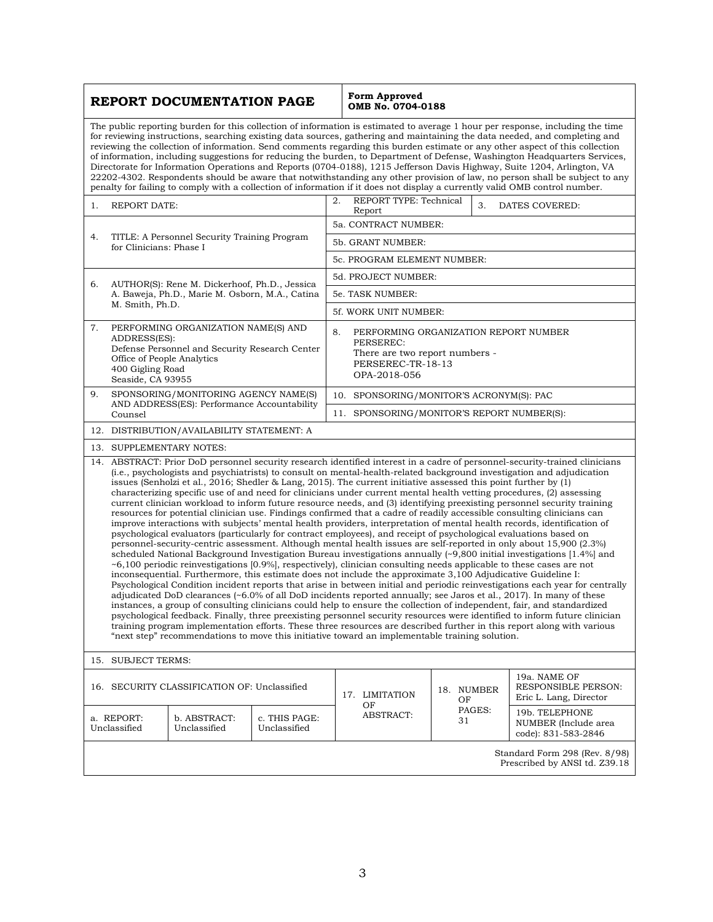| REPORT DOCUMENTATION PAGE                                                                                                                                                                                                                                                                                                                                                                                                                                                                                                                                                                                                                                                                                                                                                                                                                                                                                                                                                                                                                                                                                                                                                                                                                                                                                                                                                                                                                                                                                                                                                                                                                                                                                                                                                                                                                                                                                                                                                                                                                                                                                                                                                                                                                          |                                                                                                                                                                                                                                                                                                                                                                                                                                                                                                                                                                                                                                                                                                                                                                                                                                                                                                                    |                              |                               | Form Approved<br>OMB No. 0704-0188                                                                                              |                  |                                                               |
|----------------------------------------------------------------------------------------------------------------------------------------------------------------------------------------------------------------------------------------------------------------------------------------------------------------------------------------------------------------------------------------------------------------------------------------------------------------------------------------------------------------------------------------------------------------------------------------------------------------------------------------------------------------------------------------------------------------------------------------------------------------------------------------------------------------------------------------------------------------------------------------------------------------------------------------------------------------------------------------------------------------------------------------------------------------------------------------------------------------------------------------------------------------------------------------------------------------------------------------------------------------------------------------------------------------------------------------------------------------------------------------------------------------------------------------------------------------------------------------------------------------------------------------------------------------------------------------------------------------------------------------------------------------------------------------------------------------------------------------------------------------------------------------------------------------------------------------------------------------------------------------------------------------------------------------------------------------------------------------------------------------------------------------------------------------------------------------------------------------------------------------------------------------------------------------------------------------------------------------------------|--------------------------------------------------------------------------------------------------------------------------------------------------------------------------------------------------------------------------------------------------------------------------------------------------------------------------------------------------------------------------------------------------------------------------------------------------------------------------------------------------------------------------------------------------------------------------------------------------------------------------------------------------------------------------------------------------------------------------------------------------------------------------------------------------------------------------------------------------------------------------------------------------------------------|------------------------------|-------------------------------|---------------------------------------------------------------------------------------------------------------------------------|------------------|---------------------------------------------------------------|
|                                                                                                                                                                                                                                                                                                                                                                                                                                                                                                                                                                                                                                                                                                                                                                                                                                                                                                                                                                                                                                                                                                                                                                                                                                                                                                                                                                                                                                                                                                                                                                                                                                                                                                                                                                                                                                                                                                                                                                                                                                                                                                                                                                                                                                                    | The public reporting burden for this collection of information is estimated to average 1 hour per response, including the time<br>for reviewing instructions, searching existing data sources, gathering and maintaining the data needed, and completing and<br>reviewing the collection of information. Send comments regarding this burden estimate or any other aspect of this collection<br>of information, including suggestions for reducing the burden, to Department of Defense, Washington Headquarters Services,<br>Directorate for Information Operations and Reports (0704-0188), 1215 Jefferson Davis Highway, Suite 1204, Arlington, VA<br>22202-4302. Respondents should be aware that notwithstanding any other provision of law, no person shall be subject to any<br>penalty for failing to comply with a collection of information if it does not display a currently valid OMB control number. |                              |                               |                                                                                                                                 |                  |                                                               |
| 1.                                                                                                                                                                                                                                                                                                                                                                                                                                                                                                                                                                                                                                                                                                                                                                                                                                                                                                                                                                                                                                                                                                                                                                                                                                                                                                                                                                                                                                                                                                                                                                                                                                                                                                                                                                                                                                                                                                                                                                                                                                                                                                                                                                                                                                                 | REPORT TYPE: Technical<br>2.<br><b>REPORT DATE:</b><br>3.<br>DATES COVERED:<br>Report                                                                                                                                                                                                                                                                                                                                                                                                                                                                                                                                                                                                                                                                                                                                                                                                                              |                              |                               |                                                                                                                                 |                  |                                                               |
|                                                                                                                                                                                                                                                                                                                                                                                                                                                                                                                                                                                                                                                                                                                                                                                                                                                                                                                                                                                                                                                                                                                                                                                                                                                                                                                                                                                                                                                                                                                                                                                                                                                                                                                                                                                                                                                                                                                                                                                                                                                                                                                                                                                                                                                    |                                                                                                                                                                                                                                                                                                                                                                                                                                                                                                                                                                                                                                                                                                                                                                                                                                                                                                                    |                              | 5a. CONTRACT NUMBER:          |                                                                                                                                 |                  |                                                               |
| 4.                                                                                                                                                                                                                                                                                                                                                                                                                                                                                                                                                                                                                                                                                                                                                                                                                                                                                                                                                                                                                                                                                                                                                                                                                                                                                                                                                                                                                                                                                                                                                                                                                                                                                                                                                                                                                                                                                                                                                                                                                                                                                                                                                                                                                                                 | TITLE: A Personnel Security Training Program<br>for Clinicians: Phase I                                                                                                                                                                                                                                                                                                                                                                                                                                                                                                                                                                                                                                                                                                                                                                                                                                            |                              | 5b. GRANT NUMBER:             |                                                                                                                                 |                  |                                                               |
|                                                                                                                                                                                                                                                                                                                                                                                                                                                                                                                                                                                                                                                                                                                                                                                                                                                                                                                                                                                                                                                                                                                                                                                                                                                                                                                                                                                                                                                                                                                                                                                                                                                                                                                                                                                                                                                                                                                                                                                                                                                                                                                                                                                                                                                    |                                                                                                                                                                                                                                                                                                                                                                                                                                                                                                                                                                                                                                                                                                                                                                                                                                                                                                                    | 5c. PROGRAM ELEMENT NUMBER:  |                               |                                                                                                                                 |                  |                                                               |
| 6.                                                                                                                                                                                                                                                                                                                                                                                                                                                                                                                                                                                                                                                                                                                                                                                                                                                                                                                                                                                                                                                                                                                                                                                                                                                                                                                                                                                                                                                                                                                                                                                                                                                                                                                                                                                                                                                                                                                                                                                                                                                                                                                                                                                                                                                 | AUTHOR(S): Rene M. Dickerhoof, Ph.D., Jessica<br>A. Baweja, Ph.D., Marie M. Osborn, M.A., Catina                                                                                                                                                                                                                                                                                                                                                                                                                                                                                                                                                                                                                                                                                                                                                                                                                   |                              | 5d. PROJECT NUMBER:           |                                                                                                                                 |                  |                                                               |
|                                                                                                                                                                                                                                                                                                                                                                                                                                                                                                                                                                                                                                                                                                                                                                                                                                                                                                                                                                                                                                                                                                                                                                                                                                                                                                                                                                                                                                                                                                                                                                                                                                                                                                                                                                                                                                                                                                                                                                                                                                                                                                                                                                                                                                                    |                                                                                                                                                                                                                                                                                                                                                                                                                                                                                                                                                                                                                                                                                                                                                                                                                                                                                                                    |                              | 5e. TASK NUMBER:              |                                                                                                                                 |                  |                                                               |
|                                                                                                                                                                                                                                                                                                                                                                                                                                                                                                                                                                                                                                                                                                                                                                                                                                                                                                                                                                                                                                                                                                                                                                                                                                                                                                                                                                                                                                                                                                                                                                                                                                                                                                                                                                                                                                                                                                                                                                                                                                                                                                                                                                                                                                                    | M. Smith, Ph.D.                                                                                                                                                                                                                                                                                                                                                                                                                                                                                                                                                                                                                                                                                                                                                                                                                                                                                                    |                              |                               | 5f. WORK UNIT NUMBER:                                                                                                           |                  |                                                               |
| 7.                                                                                                                                                                                                                                                                                                                                                                                                                                                                                                                                                                                                                                                                                                                                                                                                                                                                                                                                                                                                                                                                                                                                                                                                                                                                                                                                                                                                                                                                                                                                                                                                                                                                                                                                                                                                                                                                                                                                                                                                                                                                                                                                                                                                                                                 | PERFORMING ORGANIZATION NAME(S) AND<br>ADDRESS(ES):<br>Defense Personnel and Security Research Center<br>Office of People Analytics<br>400 Gigling Road<br>Seaside, CA 93955                                                                                                                                                                                                                                                                                                                                                                                                                                                                                                                                                                                                                                                                                                                                       |                              |                               | 8.<br>PERFORMING ORGANIZATION REPORT NUMBER<br>PERSEREC:<br>There are two report numbers -<br>PERSEREC-TR-18-13<br>OPA-2018-056 |                  |                                                               |
| 9.                                                                                                                                                                                                                                                                                                                                                                                                                                                                                                                                                                                                                                                                                                                                                                                                                                                                                                                                                                                                                                                                                                                                                                                                                                                                                                                                                                                                                                                                                                                                                                                                                                                                                                                                                                                                                                                                                                                                                                                                                                                                                                                                                                                                                                                 | SPONSORING/MONITORING AGENCY NAME(S)                                                                                                                                                                                                                                                                                                                                                                                                                                                                                                                                                                                                                                                                                                                                                                                                                                                                               |                              |                               | 10. SPONSORING/MONITOR'S ACRONYM(S): PAC                                                                                        |                  |                                                               |
| AND ADDRESS(ES): Performance Accountability<br>Counsel                                                                                                                                                                                                                                                                                                                                                                                                                                                                                                                                                                                                                                                                                                                                                                                                                                                                                                                                                                                                                                                                                                                                                                                                                                                                                                                                                                                                                                                                                                                                                                                                                                                                                                                                                                                                                                                                                                                                                                                                                                                                                                                                                                                             |                                                                                                                                                                                                                                                                                                                                                                                                                                                                                                                                                                                                                                                                                                                                                                                                                                                                                                                    |                              |                               | 11. SPONSORING/MONITOR'S REPORT NUMBER(S):                                                                                      |                  |                                                               |
|                                                                                                                                                                                                                                                                                                                                                                                                                                                                                                                                                                                                                                                                                                                                                                                                                                                                                                                                                                                                                                                                                                                                                                                                                                                                                                                                                                                                                                                                                                                                                                                                                                                                                                                                                                                                                                                                                                                                                                                                                                                                                                                                                                                                                                                    | 12. DISTRIBUTION/AVAILABILITY STATEMENT: A                                                                                                                                                                                                                                                                                                                                                                                                                                                                                                                                                                                                                                                                                                                                                                                                                                                                         |                              |                               |                                                                                                                                 |                  |                                                               |
|                                                                                                                                                                                                                                                                                                                                                                                                                                                                                                                                                                                                                                                                                                                                                                                                                                                                                                                                                                                                                                                                                                                                                                                                                                                                                                                                                                                                                                                                                                                                                                                                                                                                                                                                                                                                                                                                                                                                                                                                                                                                                                                                                                                                                                                    | 13. SUPPLEMENTARY NOTES:                                                                                                                                                                                                                                                                                                                                                                                                                                                                                                                                                                                                                                                                                                                                                                                                                                                                                           |                              |                               |                                                                                                                                 |                  |                                                               |
| 14. ABSTRACT: Prior DoD personnel security research identified interest in a cadre of personnel-security-trained clinicians<br>(i.e., psychologists and psychiatrists) to consult on mental-health-related background investigation and adjudication<br>issues (Senholzi et al., 2016; Shedler & Lang, 2015). The current initiative assessed this point further by (1)<br>characterizing specific use of and need for clinicians under current mental health vetting procedures, (2) assessing<br>current clinician workload to inform future resource needs, and (3) identifying preexisting personnel security training<br>resources for potential clinician use. Findings confirmed that a cadre of readily accessible consulting clinicians can<br>improve interactions with subjects' mental health providers, interpretation of mental health records, identification of<br>psychological evaluators (particularly for contract employees), and receipt of psychological evaluations based on<br>personnel-security-centric assessment. Although mental health issues are self-reported in only about 15,900 (2.3%)<br>scheduled National Background Investigation Bureau investigations annually $(\sim 9,800)$ initial investigations [1.4%] and<br>$\sim$ 6,100 periodic reinvestigations [0.9%], respectively], clinician consulting needs applicable to these cases are not<br>inconsequential. Furthermore, this estimate does not include the approximate 3,100 Adjudicative Guideline I:<br>Psychological Condition incident reports that arise in between initial and periodic reinvestigations each year for centrally<br>adjudicated DoD clearances (~6.0% of all DoD incidents reported annually; see Jaros et al., 2017). In many of these<br>instances, a group of consulting clinicians could help to ensure the collection of independent, fair, and standardized<br>psychological feedback. Finally, three preexisting personnel security resources were identified to inform future clinician<br>training program implementation efforts. These three resources are described further in this report along with various<br>"next step" recommendations to move this initiative toward an implementable training solution. |                                                                                                                                                                                                                                                                                                                                                                                                                                                                                                                                                                                                                                                                                                                                                                                                                                                                                                                    |                              |                               |                                                                                                                                 |                  |                                                               |
| 15. SUBJECT TERMS:                                                                                                                                                                                                                                                                                                                                                                                                                                                                                                                                                                                                                                                                                                                                                                                                                                                                                                                                                                                                                                                                                                                                                                                                                                                                                                                                                                                                                                                                                                                                                                                                                                                                                                                                                                                                                                                                                                                                                                                                                                                                                                                                                                                                                                 |                                                                                                                                                                                                                                                                                                                                                                                                                                                                                                                                                                                                                                                                                                                                                                                                                                                                                                                    |                              |                               |                                                                                                                                 |                  |                                                               |
|                                                                                                                                                                                                                                                                                                                                                                                                                                                                                                                                                                                                                                                                                                                                                                                                                                                                                                                                                                                                                                                                                                                                                                                                                                                                                                                                                                                                                                                                                                                                                                                                                                                                                                                                                                                                                                                                                                                                                                                                                                                                                                                                                                                                                                                    | 16. SECURITY CLASSIFICATION OF: Unclassified                                                                                                                                                                                                                                                                                                                                                                                                                                                                                                                                                                                                                                                                                                                                                                                                                                                                       |                              |                               | 17. LIMITATION<br>ΟF                                                                                                            | 18. NUMBER<br>ΟF | 19a. NAME OF<br>RESPONSIBLE PERSON:<br>Eric L. Lang, Director |
|                                                                                                                                                                                                                                                                                                                                                                                                                                                                                                                                                                                                                                                                                                                                                                                                                                                                                                                                                                                                                                                                                                                                                                                                                                                                                                                                                                                                                                                                                                                                                                                                                                                                                                                                                                                                                                                                                                                                                                                                                                                                                                                                                                                                                                                    | a. REPORT:<br>Unclassified                                                                                                                                                                                                                                                                                                                                                                                                                                                                                                                                                                                                                                                                                                                                                                                                                                                                                         | b. ABSTRACT:<br>Unclassified | c. THIS PAGE:<br>Unclassified | <b>ABSTRACT:</b>                                                                                                                | PAGES:<br>31     | 19b. TELEPHONE<br>NUMBER (Include area<br>code): 831-583-2846 |
|                                                                                                                                                                                                                                                                                                                                                                                                                                                                                                                                                                                                                                                                                                                                                                                                                                                                                                                                                                                                                                                                                                                                                                                                                                                                                                                                                                                                                                                                                                                                                                                                                                                                                                                                                                                                                                                                                                                                                                                                                                                                                                                                                                                                                                                    | Standard Form 298 (Rev. 8/98)<br>Prescribed by ANSI td. Z39.18                                                                                                                                                                                                                                                                                                                                                                                                                                                                                                                                                                                                                                                                                                                                                                                                                                                     |                              |                               |                                                                                                                                 |                  |                                                               |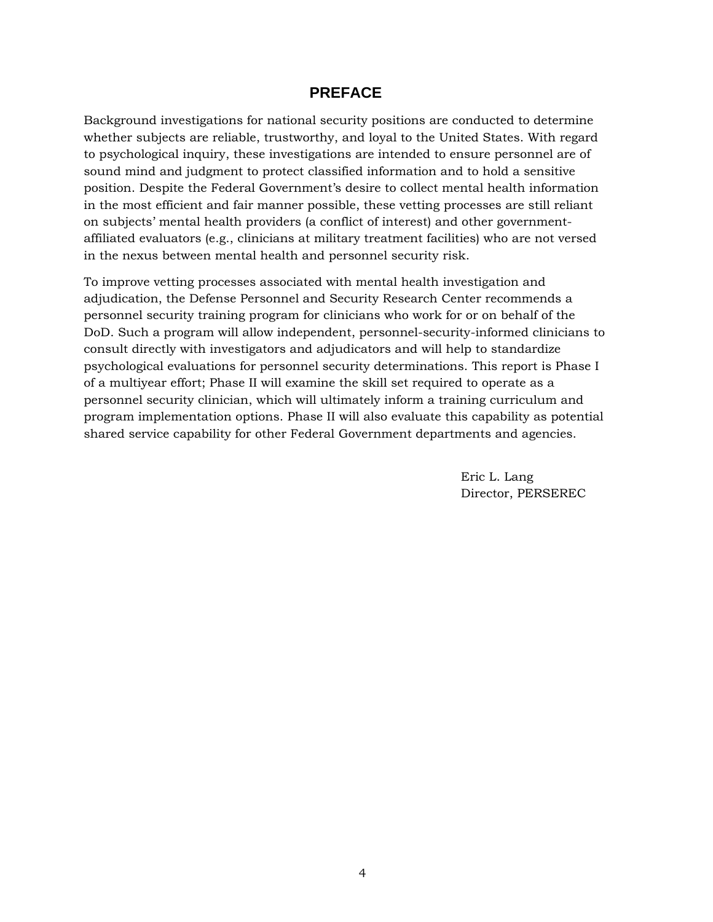#### **PREFACE**

Background investigations for national security positions are conducted to determine whether subjects are reliable, trustworthy, and loyal to the United States. With regard to psychological inquiry, these investigations are intended to ensure personnel are of sound mind and judgment to protect classified information and to hold a sensitive position. Despite the Federal Government's desire to collect mental health information in the most efficient and fair manner possible, these vetting processes are still reliant on subjects' mental health providers (a conflict of interest) and other governmentaffiliated evaluators (e.g., clinicians at military treatment facilities) who are not versed in the nexus between mental health and personnel security risk.

To improve vetting processes associated with mental health investigation and adjudication, the Defense Personnel and Security Research Center recommends a personnel security training program for clinicians who work for or on behalf of the DoD. Such a program will allow independent, personnel-security-informed clinicians to consult directly with investigators and adjudicators and will help to standardize psychological evaluations for personnel security determinations. This report is Phase I of a multiyear effort; Phase II will examine the skill set required to operate as a personnel security clinician, which will ultimately inform a training curriculum and program implementation options. Phase II will also evaluate this capability as potential shared service capability for other Federal Government departments and agencies.

> Eric L. Lang Director, PERSEREC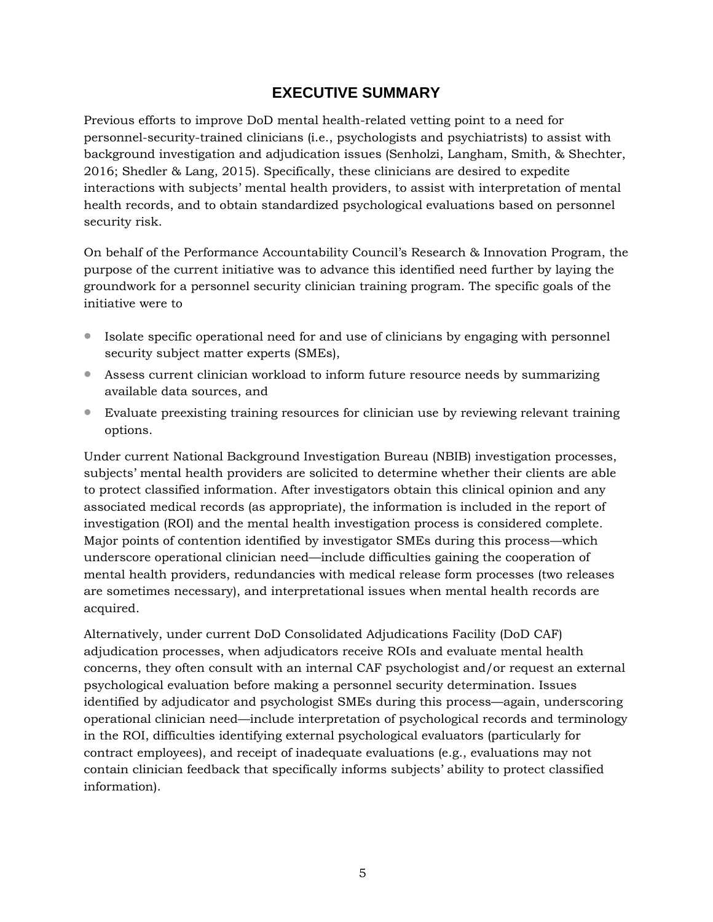# **EXECUTIVE SUMMARY**

Previous efforts to improve DoD mental health-related vetting point to a need for personnel-security-trained clinicians (i.e., psychologists and psychiatrists) to assist with background investigation and adjudication issues (Senholzi, Langham, Smith, & Shechter, 2016; Shedler & Lang, 2015). Specifically, these clinicians are desired to expedite interactions with subjects' mental health providers, to assist with interpretation of mental health records, and to obtain standardized psychological evaluations based on personnel security risk.

On behalf of the Performance Accountability Council's Research & Innovation Program, the purpose of the current initiative was to advance this identified need further by laying the groundwork for a personnel security clinician training program. The specific goals of the initiative were to

- Isolate specific operational need for and use of clinicians by engaging with personnel security subject matter experts (SMEs),
- Assess current clinician workload to inform future resource needs by summarizing available data sources, and
- Evaluate preexisting training resources for clinician use by reviewing relevant training options.

Under current National Background Investigation Bureau (NBIB) investigation processes, subjects' mental health providers are solicited to determine whether their clients are able to protect classified information. After investigators obtain this clinical opinion and any associated medical records (as appropriate), the information is included in the report of investigation (ROI) and the mental health investigation process is considered complete. Major points of contention identified by investigator SMEs during this process—which underscore operational clinician need—include difficulties gaining the cooperation of mental health providers, redundancies with medical release form processes (two releases are sometimes necessary), and interpretational issues when mental health records are acquired.

Alternatively, under current DoD Consolidated Adjudications Facility (DoD CAF) adjudication processes, when adjudicators receive ROIs and evaluate mental health concerns, they often consult with an internal CAF psychologist and/or request an external psychological evaluation before making a personnel security determination. Issues identified by adjudicator and psychologist SMEs during this process—again, underscoring operational clinician need—include interpretation of psychological records and terminology in the ROI, difficulties identifying external psychological evaluators (particularly for contract employees), and receipt of inadequate evaluations (e.g., evaluations may not contain clinician feedback that specifically informs subjects' ability to protect classified information).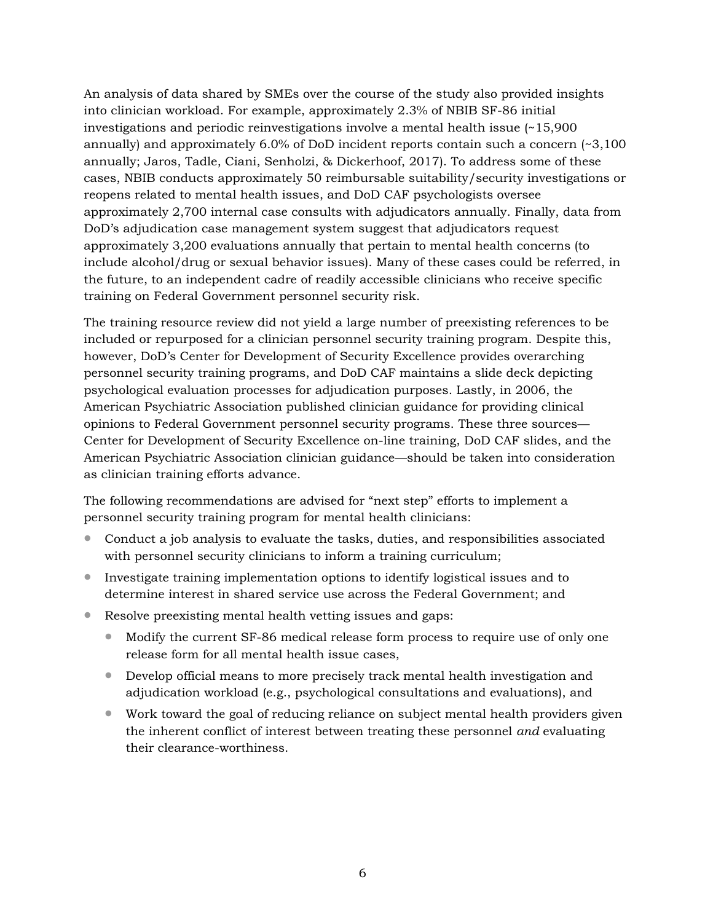An analysis of data shared by SMEs over the course of the study also provided insights into clinician workload. For example, approximately 2.3% of NBIB SF-86 initial investigations and periodic reinvestigations involve a mental health issue (~15,900 annually) and approximately 6.0% of DoD incident reports contain such a concern  $\approx 3,100$ annually; Jaros, Tadle, Ciani, Senholzi, & Dickerhoof, 2017). To address some of these cases, NBIB conducts approximately 50 reimbursable suitability/security investigations or reopens related to mental health issues, and DoD CAF psychologists oversee approximately 2,700 internal case consults with adjudicators annually. Finally, data from DoD's adjudication case management system suggest that adjudicators request approximately 3,200 evaluations annually that pertain to mental health concerns (to include alcohol/drug or sexual behavior issues). Many of these cases could be referred, in the future, to an independent cadre of readily accessible clinicians who receive specific training on Federal Government personnel security risk.

The training resource review did not yield a large number of preexisting references to be included or repurposed for a clinician personnel security training program. Despite this, however, DoD's Center for Development of Security Excellence provides overarching personnel security training programs, and DoD CAF maintains a slide deck depicting psychological evaluation processes for adjudication purposes. Lastly, in 2006, the American Psychiatric Association published clinician guidance for providing clinical opinions to Federal Government personnel security programs. These three sources— Center for Development of Security Excellence on-line training, DoD CAF slides, and the American Psychiatric Association clinician guidance—should be taken into consideration as clinician training efforts advance.

The following recommendations are advised for "next step" efforts to implement a personnel security training program for mental health clinicians:

- Conduct a job analysis to evaluate the tasks, duties, and responsibilities associated with personnel security clinicians to inform a training curriculum;
- Investigate training implementation options to identify logistical issues and to determine interest in shared service use across the Federal Government; and
- Resolve preexisting mental health vetting issues and gaps:
	- Modify the current SF-86 medical release form process to require use of only one release form for all mental health issue cases,
	- Develop official means to more precisely track mental health investigation and adjudication workload (e.g., psychological consultations and evaluations), and
	- Work toward the goal of reducing reliance on subject mental health providers given the inherent conflict of interest between treating these personnel *and* evaluating their clearance-worthiness.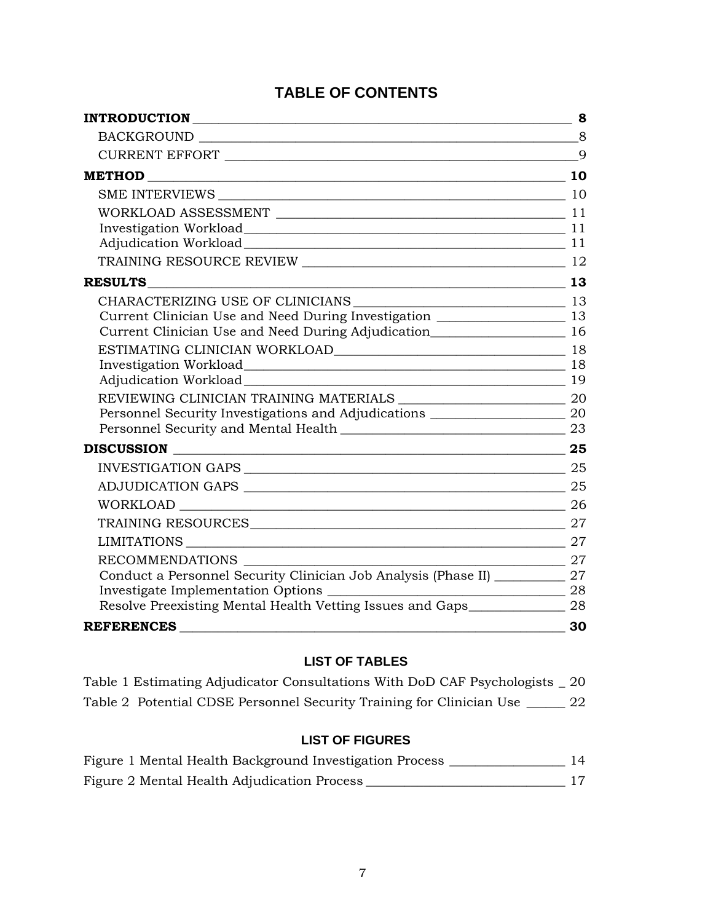# **TABLE OF CONTENTS**

| Investigation Workload 11                                                           |                                               |
|-------------------------------------------------------------------------------------|-----------------------------------------------|
| Adjudication Workload 11                                                            |                                               |
|                                                                                     |                                               |
| <b>RESULTS</b>                                                                      |                                               |
|                                                                                     |                                               |
| Current Clinician Use and Need During Investigation ____________________________ 13 |                                               |
| Current Clinician Use and Need During Adjudication<br>16                            |                                               |
|                                                                                     |                                               |
| Investigation Workload 18                                                           |                                               |
| Adjudication Workload 2000 19                                                       |                                               |
|                                                                                     |                                               |
| Personnel Security Investigations and Adjudications ____________________________ 20 |                                               |
|                                                                                     |                                               |
| DISCUSSION 25                                                                       |                                               |
|                                                                                     |                                               |
|                                                                                     |                                               |
|                                                                                     |                                               |
|                                                                                     |                                               |
|                                                                                     |                                               |
| RECOMMENDATIONS                                                                     |                                               |
| Conduct a Personnel Security Clinician Job Analysis (Phase II) ____________ 27      |                                               |
|                                                                                     |                                               |
| Resolve Preexisting Mental Health Vetting Issues and Gaps________________ 28        |                                               |
| REFERENCES <b>Example 2018</b>                                                      | $\frac{1}{\sqrt{1-\frac{1}{2}}}\frac{30}{20}$ |

# **LIST OF TABLES**

| Table 1 Estimating Adjudicator Consultations With DoD CAF Psychologists _ 20 |    |
|------------------------------------------------------------------------------|----|
| Table 2 Potential CDSE Personnel Security Training for Clinician Use         | 22 |

# **LIST OF FIGURES**

| Figure 1 Mental Health Background Investigation Process |  |
|---------------------------------------------------------|--|
| Figure 2 Mental Health Adjudication Process             |  |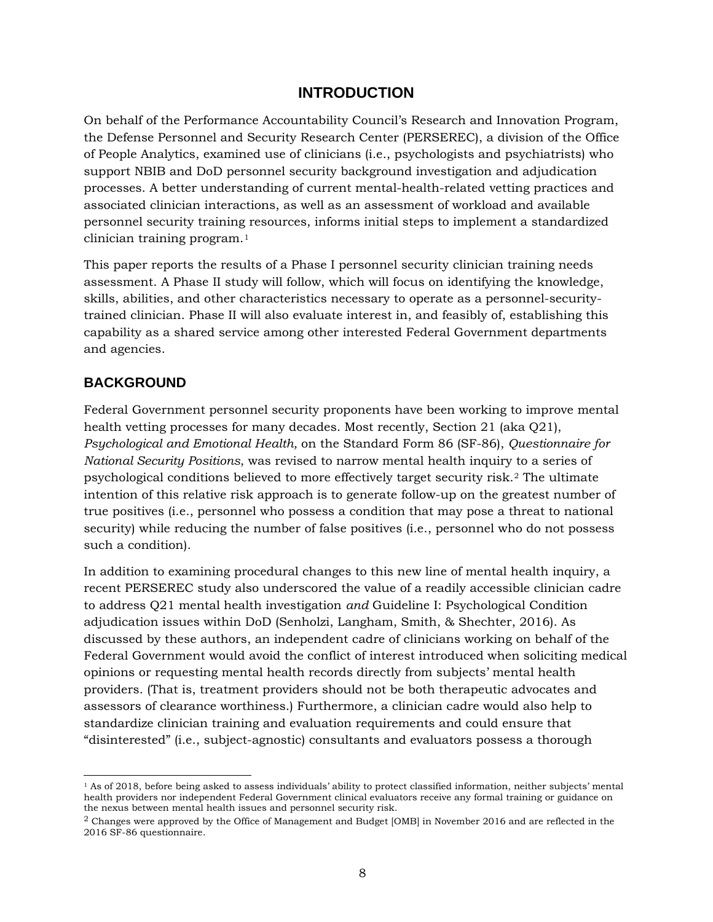### **INTRODUCTION**

<span id="page-7-0"></span>On behalf of the Performance Accountability Council's Research and Innovation Program, the Defense Personnel and Security Research Center (PERSEREC), a division of the Office of People Analytics, examined use of clinicians (i.e., psychologists and psychiatrists) who support NBIB and DoD personnel security background investigation and adjudication processes. A better understanding of current mental-health-related vetting practices and associated clinician interactions, as well as an assessment of workload and available personnel security training resources, informs initial steps to implement a standardized clinician training program.[1](#page-7-2)

This paper reports the results of a Phase I personnel security clinician training needs assessment. A Phase II study will follow, which will focus on identifying the knowledge, skills, abilities, and other characteristics necessary to operate as a personnel-securitytrained clinician. Phase II will also evaluate interest in, and feasibly of, establishing this capability as a shared service among other interested Federal Government departments and agencies.

#### <span id="page-7-1"></span>**BACKGROUND**

Federal Government personnel security proponents have been working to improve mental health vetting processes for many decades. Most recently, Section 21 (aka Q21), *Psychological and Emotional Health,* on the Standard Form 86 (SF-86), *Questionnaire for National Security Positions*, was revised to narrow mental health inquiry to a series of psychological conditions believed to more effectively target security risk.[2](#page-7-3) The ultimate intention of this relative risk approach is to generate follow-up on the greatest number of true positives (i.e., personnel who possess a condition that may pose a threat to national security) while reducing the number of false positives (i.e., personnel who do not possess such a condition).

In addition to examining procedural changes to this new line of mental health inquiry, a recent PERSEREC study also underscored the value of a readily accessible clinician cadre to address Q21 mental health investigation *and* Guideline I: Psychological Condition adjudication issues within DoD (Senholzi, Langham, Smith, & Shechter, 2016). As discussed by these authors, an independent cadre of clinicians working on behalf of the Federal Government would avoid the conflict of interest introduced when soliciting medical opinions or requesting mental health records directly from subjects' mental health providers. (That is, treatment providers should not be both therapeutic advocates and assessors of clearance worthiness.) Furthermore, a clinician cadre would also help to standardize clinician training and evaluation requirements and could ensure that "disinterested" (i.e., subject-agnostic) consultants and evaluators possess a thorough

<span id="page-7-2"></span> <sup>1</sup> As of 2018, before being asked to assess individuals' ability to protect classified information, neither subjects' mental health providers nor independent Federal Government clinical evaluators receive any formal training or guidance on the nexus between mental health issues and personnel security risk.

<span id="page-7-3"></span><sup>2</sup> Changes were approved by the Office of Management and Budget [OMB] in November 2016 and are reflected in the 2016 SF-86 questionnaire.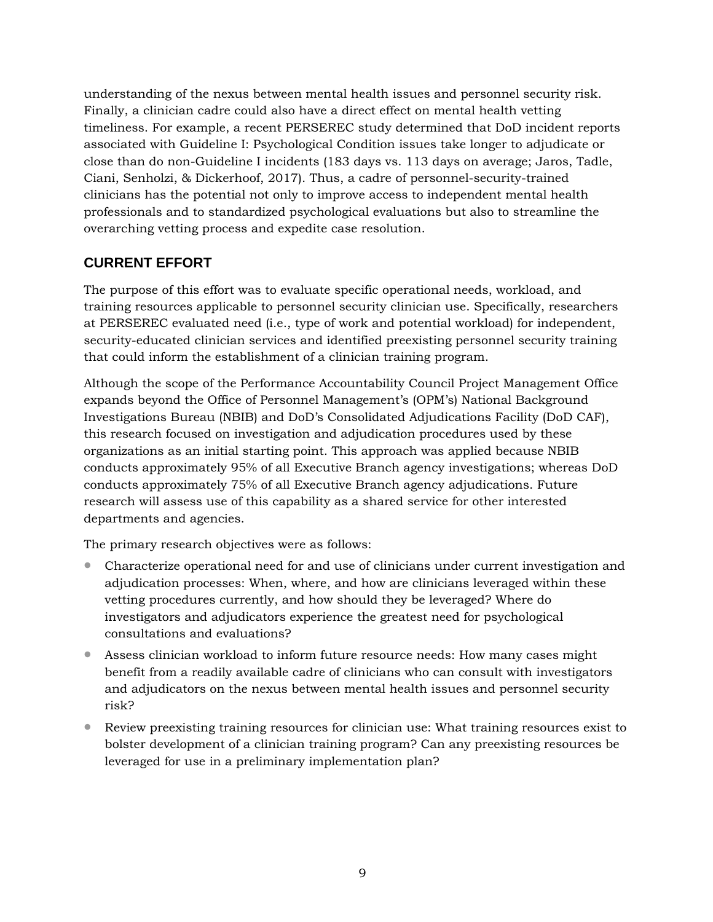understanding of the nexus between mental health issues and personnel security risk. Finally, a clinician cadre could also have a direct effect on mental health vetting timeliness. For example, a recent PERSEREC study determined that DoD incident reports associated with Guideline I: Psychological Condition issues take longer to adjudicate or close than do non-Guideline I incidents (183 days vs. 113 days on average; Jaros, Tadle, Ciani, Senholzi, & Dickerhoof, 2017). Thus, a cadre of personnel-security-trained clinicians has the potential not only to improve access to independent mental health professionals and to standardized psychological evaluations but also to streamline the overarching vetting process and expedite case resolution.

# <span id="page-8-0"></span>**CURRENT EFFORT**

The purpose of this effort was to evaluate specific operational needs, workload, and training resources applicable to personnel security clinician use. Specifically, researchers at PERSEREC evaluated need (i.e., type of work and potential workload) for independent, security-educated clinician services and identified preexisting personnel security training that could inform the establishment of a clinician training program.

Although the scope of the Performance Accountability Council Project Management Office expands beyond the Office of Personnel Management's (OPM's) National Background Investigations Bureau (NBIB) and DoD's Consolidated Adjudications Facility (DoD CAF), this research focused on investigation and adjudication procedures used by these organizations as an initial starting point. This approach was applied because NBIB conducts approximately 95% of all Executive Branch agency investigations; whereas DoD conducts approximately 75% of all Executive Branch agency adjudications. Future research will assess use of this capability as a shared service for other interested departments and agencies.

The primary research objectives were as follows:

- Characterize operational need for and use of clinicians under current investigation and adjudication processes: When, where, and how are clinicians leveraged within these vetting procedures currently, and how should they be leveraged? Where do investigators and adjudicators experience the greatest need for psychological consultations and evaluations?
- Assess clinician workload to inform future resource needs: How many cases might benefit from a readily available cadre of clinicians who can consult with investigators and adjudicators on the nexus between mental health issues and personnel security risk?
- Review preexisting training resources for clinician use: What training resources exist to bolster development of a clinician training program? Can any preexisting resources be leveraged for use in a preliminary implementation plan?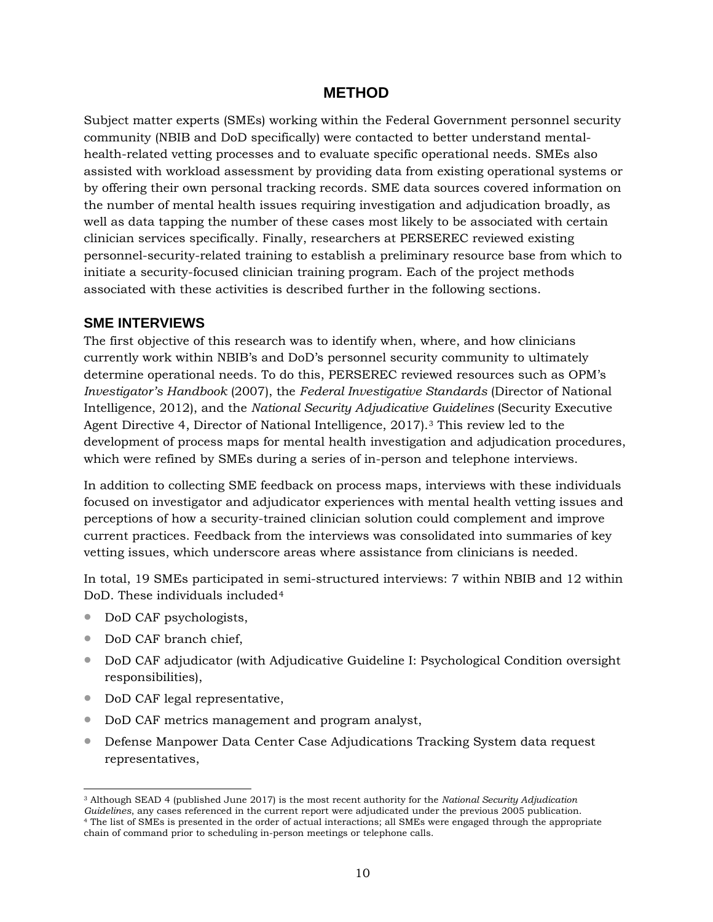### **METHOD**

<span id="page-9-0"></span>Subject matter experts (SMEs) working within the Federal Government personnel security community (NBIB and DoD specifically) were contacted to better understand mentalhealth-related vetting processes and to evaluate specific operational needs. SMEs also assisted with workload assessment by providing data from existing operational systems or by offering their own personal tracking records. SME data sources covered information on the number of mental health issues requiring investigation and adjudication broadly, as well as data tapping the number of these cases most likely to be associated with certain clinician services specifically. Finally, researchers at PERSEREC reviewed existing personnel-security-related training to establish a preliminary resource base from which to initiate a security-focused clinician training program. Each of the project methods associated with these activities is described further in the following sections.

#### <span id="page-9-1"></span>**SME INTERVIEWS**

The first objective of this research was to identify when, where, and how clinicians currently work within NBIB's and DoD's personnel security community to ultimately determine operational needs. To do this, PERSEREC reviewed resources such as OPM's *Investigator's Handbook* (2007), the *Federal Investigative Standards* (Director of National Intelligence, 2012), and the *National Security Adjudicative Guidelines* (Security Executive Agent Directive 4, Director of National Intelligence, 2017).[3](#page-9-2) This review led to the development of process maps for mental health investigation and adjudication procedures, which were refined by SMEs during a series of in-person and telephone interviews.

In addition to collecting SME feedback on process maps, interviews with these individuals focused on investigator and adjudicator experiences with mental health vetting issues and perceptions of how a security-trained clinician solution could complement and improve current practices. Feedback from the interviews was consolidated into summaries of key vetting issues, which underscore areas where assistance from clinicians is needed.

In total, 19 SMEs participated in semi-structured interviews: 7 within NBIB and 12 within DoD. These individuals included<sup>[4](#page-9-3)</sup>

- DoD CAF psychologists,
- DoD CAF branch chief,
- DoD CAF adjudicator (with Adjudicative Guideline I: Psychological Condition oversight responsibilities),
- DoD CAF legal representative,
- DoD CAF metrics management and program analyst,
- Defense Manpower Data Center Case Adjudications Tracking System data request representatives,

<span id="page-9-3"></span><span id="page-9-2"></span> <sup>3</sup> Although SEAD 4 (published June 2017) is the most recent authority for the *National Security Adjudication*  <sup>4</sup> The list of SMEs is presented in the order of actual interactions; all SMEs were engaged through the appropriate chain of command prior to scheduling in-person meetings or telephone calls.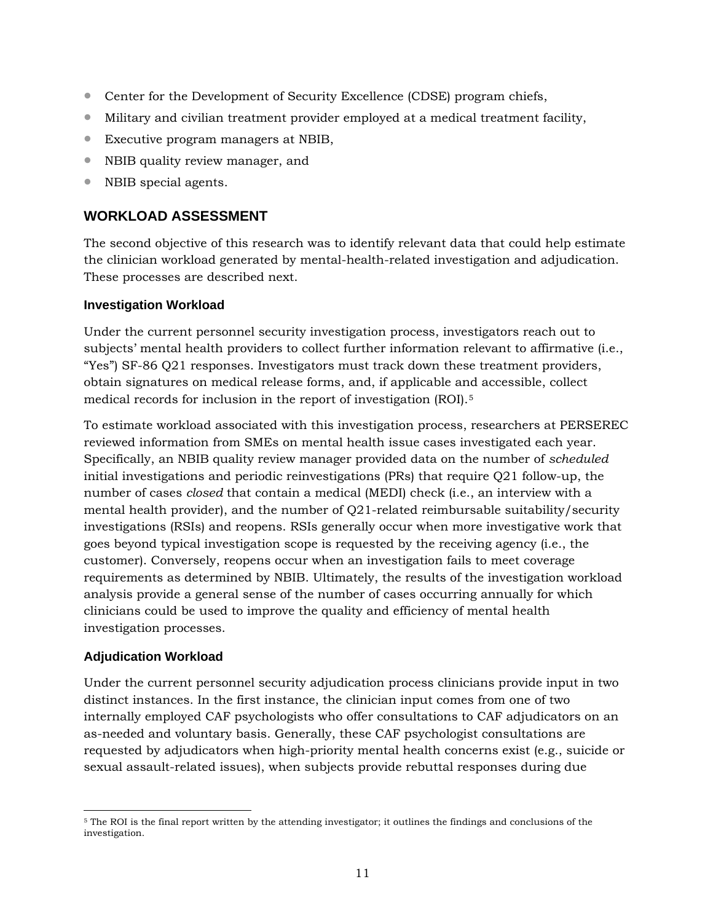- Center for the Development of Security Excellence (CDSE) program chiefs,
- Military and civilian treatment provider employed at a medical treatment facility,
- Executive program managers at NBIB,
- NBIB quality review manager, and
- <span id="page-10-0"></span>• NBIB special agents.

#### **WORKLOAD ASSESSMENT**

The second objective of this research was to identify relevant data that could help estimate the clinician workload generated by mental-health-related investigation and adjudication. These processes are described next.

#### <span id="page-10-1"></span>**Investigation Workload**

Under the current personnel security investigation process, investigators reach out to subjects' mental health providers to collect further information relevant to affirmative (i.e., "Yes") SF-86 Q21 responses. Investigators must track down these treatment providers, obtain signatures on medical release forms, and, if applicable and accessible, collect medical records for inclusion in the report of investigation (ROI).[5](#page-10-3)

To estimate workload associated with this investigation process, researchers at PERSEREC reviewed information from SMEs on mental health issue cases investigated each year. Specifically, an NBIB quality review manager provided data on the number of *scheduled* initial investigations and periodic reinvestigations (PRs) that require Q21 follow-up, the number of cases *closed* that contain a medical (MEDI) check (i.e., an interview with a mental health provider), and the number of Q21-related reimbursable suitability/security investigations (RSIs) and reopens. RSIs generally occur when more investigative work that goes beyond typical investigation scope is requested by the receiving agency (i.e., the customer). Conversely, reopens occur when an investigation fails to meet coverage requirements as determined by NBIB. Ultimately, the results of the investigation workload analysis provide a general sense of the number of cases occurring annually for which clinicians could be used to improve the quality and efficiency of mental health investigation processes.

#### <span id="page-10-2"></span>**Adjudication Workload**

Under the current personnel security adjudication process clinicians provide input in two distinct instances. In the first instance, the clinician input comes from one of two internally employed CAF psychologists who offer consultations to CAF adjudicators on an as-needed and voluntary basis. Generally, these CAF psychologist consultations are requested by adjudicators when high-priority mental health concerns exist (e.g., suicide or sexual assault-related issues), when subjects provide rebuttal responses during due

<span id="page-10-3"></span> <sup>5</sup> The ROI is the final report written by the attending investigator; it outlines the findings and conclusions of the investigation.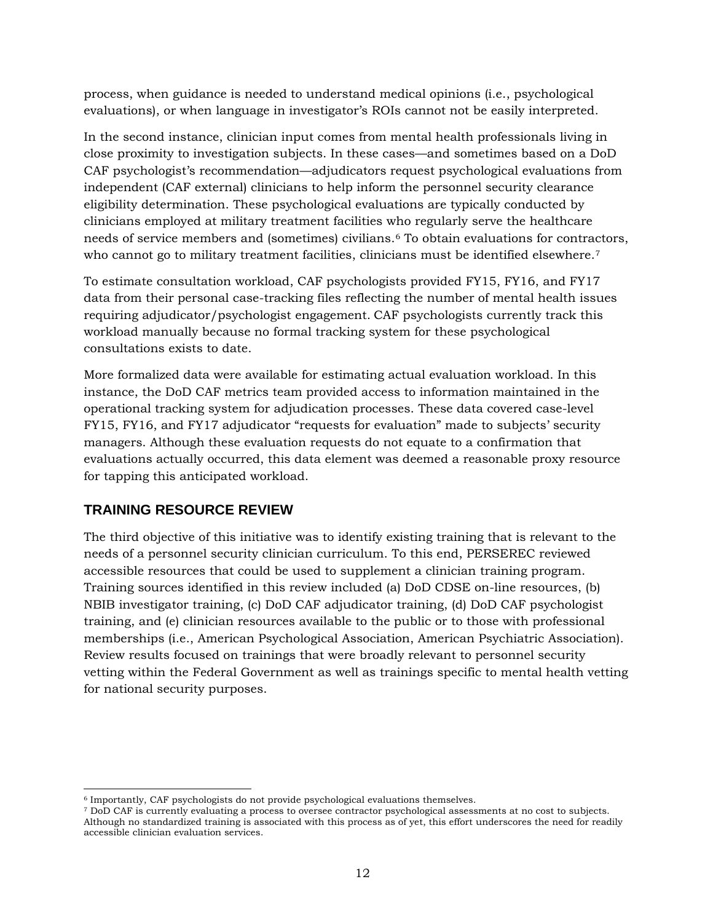process, when guidance is needed to understand medical opinions (i.e., psychological evaluations), or when language in investigator's ROIs cannot not be easily interpreted.

In the second instance, clinician input comes from mental health professionals living in close proximity to investigation subjects. In these cases—and sometimes based on a DoD CAF psychologist's recommendation—adjudicators request psychological evaluations from independent (CAF external) clinicians to help inform the personnel security clearance eligibility determination. These psychological evaluations are typically conducted by clinicians employed at military treatment facilities who regularly serve the healthcare needs of service members and (sometimes) civilians.[6](#page-11-1) To obtain evaluations for contractors, who cannot go to military treatment facilities, clinicians must be identified elsewhere.<sup>[7](#page-11-2)</sup>

To estimate consultation workload, CAF psychologists provided FY15, FY16, and FY17 data from their personal case-tracking files reflecting the number of mental health issues requiring adjudicator/psychologist engagement. CAF psychologists currently track this workload manually because no formal tracking system for these psychological consultations exists to date.

More formalized data were available for estimating actual evaluation workload. In this instance, the DoD CAF metrics team provided access to information maintained in the operational tracking system for adjudication processes. These data covered case-level FY15, FY16, and FY17 adjudicator "requests for evaluation" made to subjects' security managers. Although these evaluation requests do not equate to a confirmation that evaluations actually occurred, this data element was deemed a reasonable proxy resource for tapping this anticipated workload.

#### <span id="page-11-0"></span>**TRAINING RESOURCE REVIEW**

The third objective of this initiative was to identify existing training that is relevant to the needs of a personnel security clinician curriculum. To this end, PERSEREC reviewed accessible resources that could be used to supplement a clinician training program. Training sources identified in this review included (a) DoD CDSE on-line resources, (b) NBIB investigator training, (c) DoD CAF adjudicator training, (d) DoD CAF psychologist training, and (e) clinician resources available to the public or to those with professional memberships (i.e., American Psychological Association, American Psychiatric Association). Review results focused on trainings that were broadly relevant to personnel security vetting within the Federal Government as well as trainings specific to mental health vetting for national security purposes.

<span id="page-11-1"></span> <sup>6</sup> Importantly, CAF psychologists do not provide psychological evaluations themselves.

<span id="page-11-2"></span><sup>7</sup> DoD CAF is currently evaluating a process to oversee contractor psychological assessments at no cost to subjects. Although no standardized training is associated with this process as of yet, this effort underscores the need for readily accessible clinician evaluation services.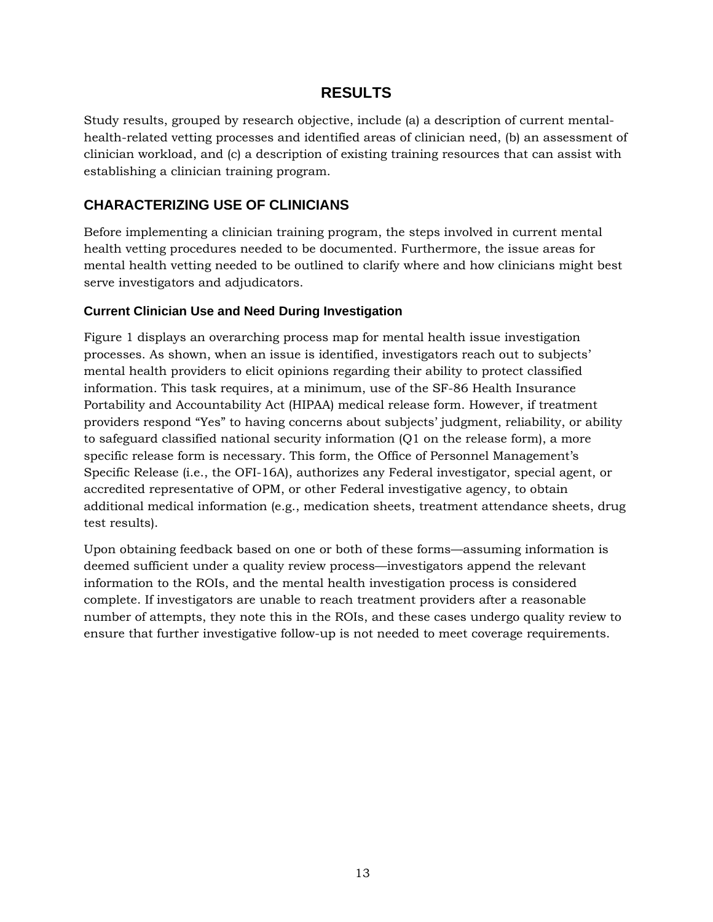# **RESULTS**

<span id="page-12-0"></span>Study results, grouped by research objective, include (a) a description of current mentalhealth-related vetting processes and identified areas of clinician need, (b) an assessment of clinician workload, and (c) a description of existing training resources that can assist with establishing a clinician training program.

## <span id="page-12-1"></span>**CHARACTERIZING USE OF CLINICIANS**

Before implementing a clinician training program, the steps involved in current mental health vetting procedures needed to be documented. Furthermore, the issue areas for mental health vetting needed to be outlined to clarify where and how clinicians might best serve investigators and adjudicators.

#### <span id="page-12-2"></span>**Current Clinician Use and Need During Investigation**

Figure 1 displays an overarching process map for mental health issue investigation processes. As shown, when an issue is identified, investigators reach out to subjects' mental health providers to elicit opinions regarding their ability to protect classified information. This task requires, at a minimum, use of the SF-86 Health Insurance Portability and Accountability Act (HIPAA) medical release form. However, if treatment providers respond "Yes" to having concerns about subjects' judgment, reliability, or ability to safeguard classified national security information (Q1 on the release form), a more specific release form is necessary. This form, the Office of Personnel Management's Specific Release (i.e., the OFI-16A), authorizes any Federal investigator, special agent, or accredited representative of OPM, or other Federal investigative agency, to obtain additional medical information (e.g., medication sheets, treatment attendance sheets, drug test results).

Upon obtaining feedback based on one or both of these forms—assuming information is deemed sufficient under a quality review process—investigators append the relevant information to the ROIs, and the mental health investigation process is considered complete. If investigators are unable to reach treatment providers after a reasonable number of attempts, they note this in the ROIs, and these cases undergo quality review to ensure that further investigative follow-up is not needed to meet coverage requirements.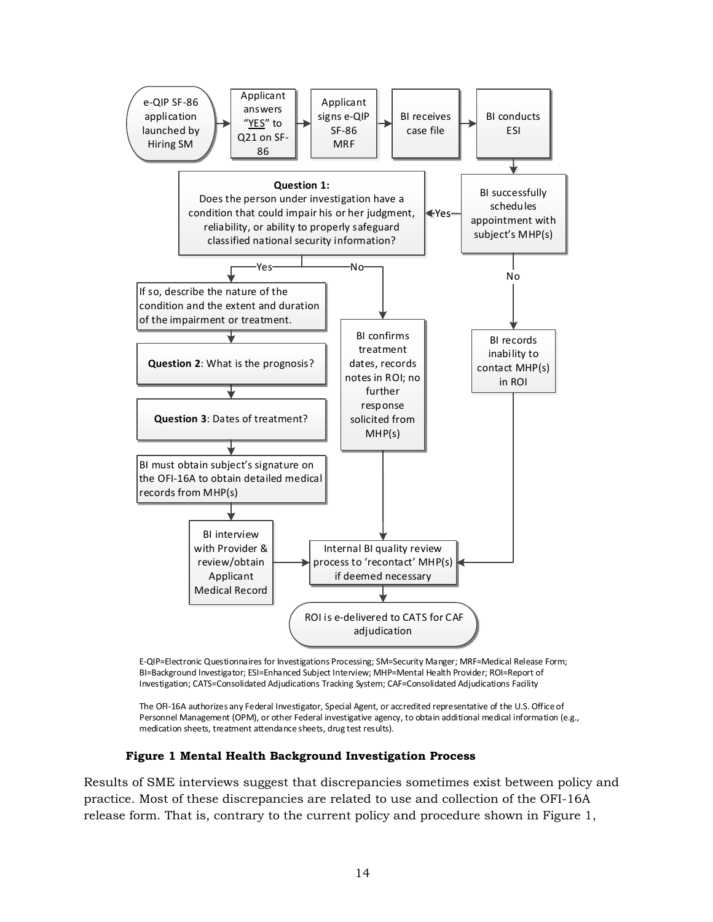

E-QIP=Electronic Questionnaires for Investigations Processing; SM=Security Manger; MRF=Medical Release Form; BI=Background Investigator; ESI=Enhanced Subject Interview; MHP=Mental Health Provider; ROI=Report of Investigation; CATS=Consolidated Adjudications Tracking System; CAF=Consolidated Adjudications Facility

The OFI-16A authorizes any Federal Investigator, Special Agent, or accredited representative of the U.S. Office of Personnel Management (OPM), or other Federal investigative agency, to obtain additional medical information (e.g., medication sheets, treatment attendance sheets, drug test results).

#### **Figure 1 Mental Health Background Investigation Process**

<span id="page-13-0"></span>Results of SME interviews suggest that discrepancies sometimes exist between policy and practice. Most of these discrepancies are related to use and collection of the OFI-16A release form. That is, contrary to the current policy and procedure shown in Figure 1,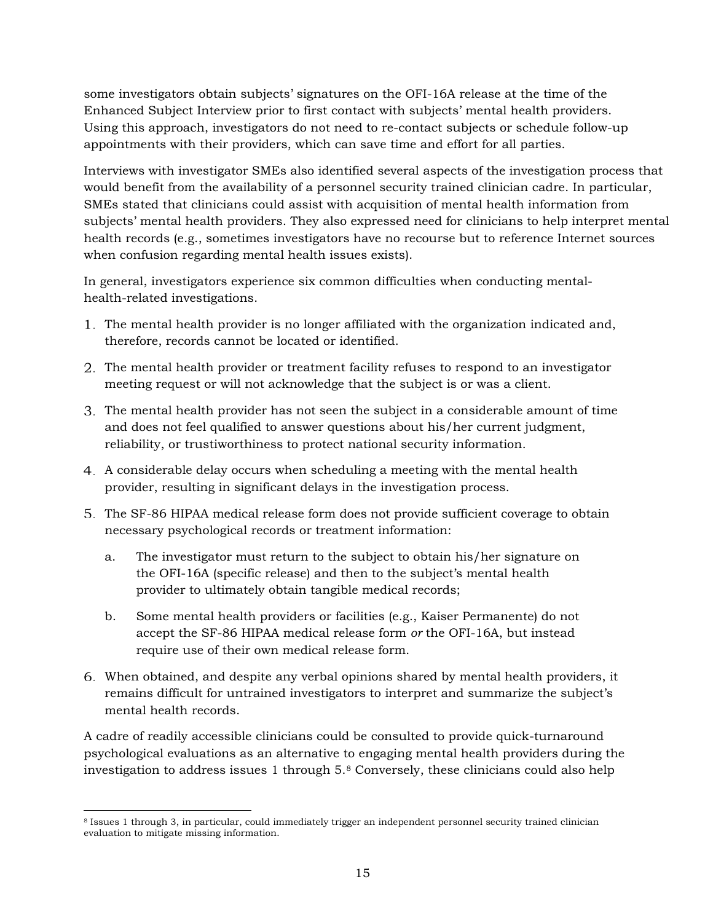some investigators obtain subjects' signatures on the OFI-16A release at the time of the Enhanced Subject Interview prior to first contact with subjects' mental health providers. Using this approach, investigators do not need to re-contact subjects or schedule follow-up appointments with their providers, which can save time and effort for all parties.

Interviews with investigator SMEs also identified several aspects of the investigation process that would benefit from the availability of a personnel security trained clinician cadre. In particular, SMEs stated that clinicians could assist with acquisition of mental health information from subjects' mental health providers. They also expressed need for clinicians to help interpret mental health records (e.g., sometimes investigators have no recourse but to reference Internet sources when confusion regarding mental health issues exists).

In general, investigators experience six common difficulties when conducting mentalhealth-related investigations.

- The mental health provider is no longer affiliated with the organization indicated and, therefore, records cannot be located or identified.
- The mental health provider or treatment facility refuses to respond to an investigator meeting request or will not acknowledge that the subject is or was a client.
- The mental health provider has not seen the subject in a considerable amount of time and does not feel qualified to answer questions about his/her current judgment, reliability, or trustiworthiness to protect national security information.
- A considerable delay occurs when scheduling a meeting with the mental health provider, resulting in significant delays in the investigation process.
- The SF-86 HIPAA medical release form does not provide sufficient coverage to obtain necessary psychological records or treatment information:
	- a. The investigator must return to the subject to obtain his/her signature on the OFI-16A (specific release) and then to the subject's mental health provider to ultimately obtain tangible medical records;
	- b. Some mental health providers or facilities (e.g., Kaiser Permanente) do not accept the SF-86 HIPAA medical release form *or* the OFI-16A, but instead require use of their own medical release form.
- When obtained, and despite any verbal opinions shared by mental health providers, it remains difficult for untrained investigators to interpret and summarize the subject's mental health records.

A cadre of readily accessible clinicians could be consulted to provide quick-turnaround psychological evaluations as an alternative to engaging mental health providers during the investigation to address issues 1 through 5.[8](#page-14-0) Conversely, these clinicians could also help

<span id="page-14-0"></span> <sup>8</sup> Issues 1 through 3, in particular, could immediately trigger an independent personnel security trained clinician evaluation to mitigate missing information.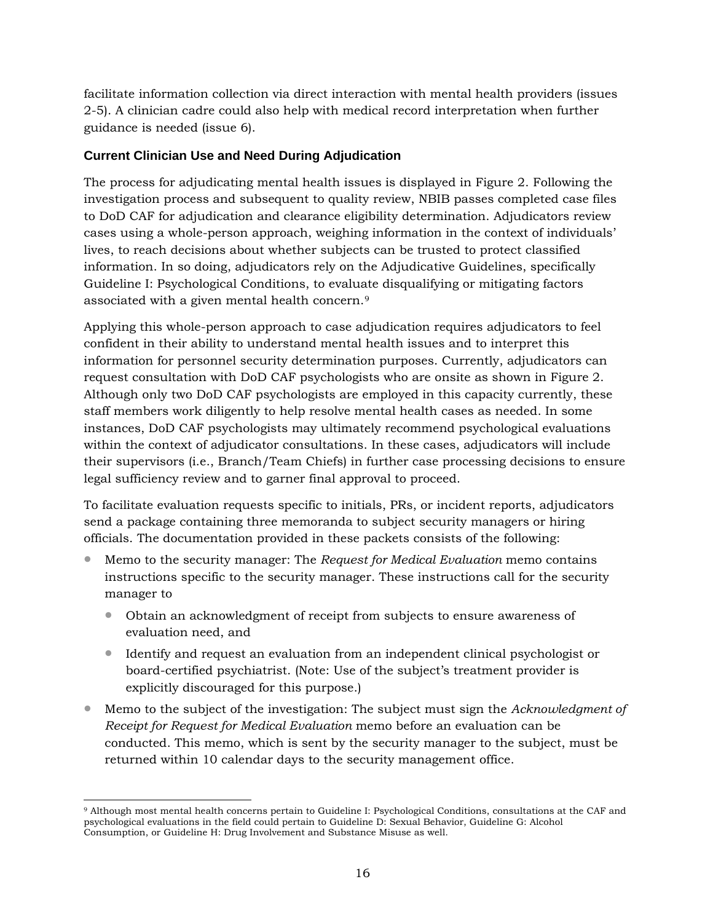facilitate information collection via direct interaction with mental health providers (issues 2-5). A clinician cadre could also help with medical record interpretation when further guidance is needed (issue 6).

#### <span id="page-15-0"></span>**Current Clinician Use and Need During Adjudication**

The process for adjudicating mental health issues is displayed in Figure 2. Following the investigation process and subsequent to quality review, NBIB passes completed case files to DoD CAF for adjudication and clearance eligibility determination. Adjudicators review cases using a whole-person approach, weighing information in the context of individuals' lives, to reach decisions about whether subjects can be trusted to protect classified information. In so doing, adjudicators rely on the Adjudicative Guidelines, specifically Guideline I: Psychological Conditions, to evaluate disqualifying or mitigating factors associated with a given mental health concern.[9](#page-15-1)

Applying this whole-person approach to case adjudication requires adjudicators to feel confident in their ability to understand mental health issues and to interpret this information for personnel security determination purposes. Currently, adjudicators can request consultation with DoD CAF psychologists who are onsite as shown in Figure 2. Although only two DoD CAF psychologists are employed in this capacity currently, these staff members work diligently to help resolve mental health cases as needed. In some instances, DoD CAF psychologists may ultimately recommend psychological evaluations within the context of adjudicator consultations. In these cases, adjudicators will include their supervisors (i.e., Branch/Team Chiefs) in further case processing decisions to ensure legal sufficiency review and to garner final approval to proceed.

To facilitate evaluation requests specific to initials, PRs, or incident reports, adjudicators send a package containing three memoranda to subject security managers or hiring officials. The documentation provided in these packets consists of the following:

- Memo to the security manager: The *Request for Medical Evaluation* memo contains instructions specific to the security manager. These instructions call for the security manager to
	- Obtain an acknowledgment of receipt from subjects to ensure awareness of evaluation need, and
	- Identify and request an evaluation from an independent clinical psychologist or board-certified psychiatrist. (Note: Use of the subject's treatment provider is explicitly discouraged for this purpose.)
- Memo to the subject of the investigation: The subject must sign the *Acknowledgment of Receipt for Request for Medical Evaluation* memo before an evaluation can be conducted. This memo, which is sent by the security manager to the subject, must be returned within 10 calendar days to the security management office.

<span id="page-15-1"></span> <sup>9</sup> Although most mental health concerns pertain to Guideline I: Psychological Conditions, consultations at the CAF and psychological evaluations in the field could pertain to Guideline D: Sexual Behavior, Guideline G: Alcohol Consumption, or Guideline H: Drug Involvement and Substance Misuse as well.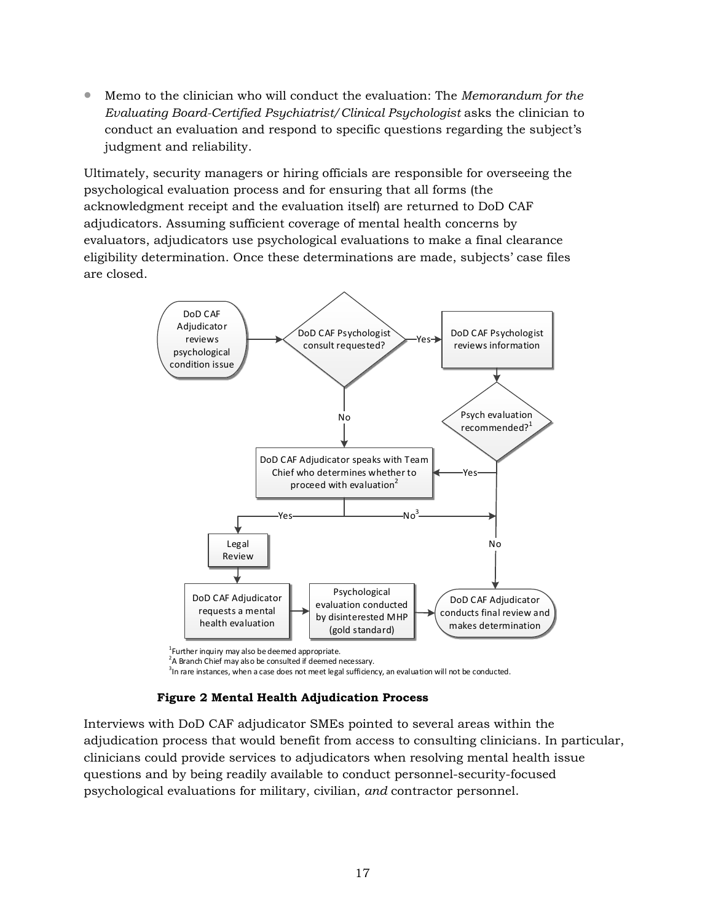• Memo to the clinician who will conduct the evaluation: The *Memorandum for the Evaluating Board-Certified Psychiatrist/Clinical Psychologist* asks the clinician to conduct an evaluation and respond to specific questions regarding the subject's judgment and reliability.

Ultimately, security managers or hiring officials are responsible for overseeing the psychological evaluation process and for ensuring that all forms (the acknowledgment receipt and the evaluation itself) are returned to DoD CAF adjudicators. Assuming sufficient coverage of mental health concerns by evaluators, adjudicators use psychological evaluations to make a final clearance eligibility determination. Once these determinations are made, subjects' case files are closed.



<sup>1</sup> Further inquiry may also be deemed appropriate.<br><sup>2</sup>A Pranch Chief may also be consulted if deemed r

 $2A$  Branch Chief may also be consulted if deemed necessary.

 $3$ In rare instances, when a case does not meet legal sufficiency, an evaluation will not be conducted.

#### **Figure 2 Mental Health Adjudication Process**

<span id="page-16-0"></span>Interviews with DoD CAF adjudicator SMEs pointed to several areas within the adjudication process that would benefit from access to consulting clinicians. In particular, clinicians could provide services to adjudicators when resolving mental health issue questions and by being readily available to conduct personnel-security-focused psychological evaluations for military, civilian, *and* contractor personnel.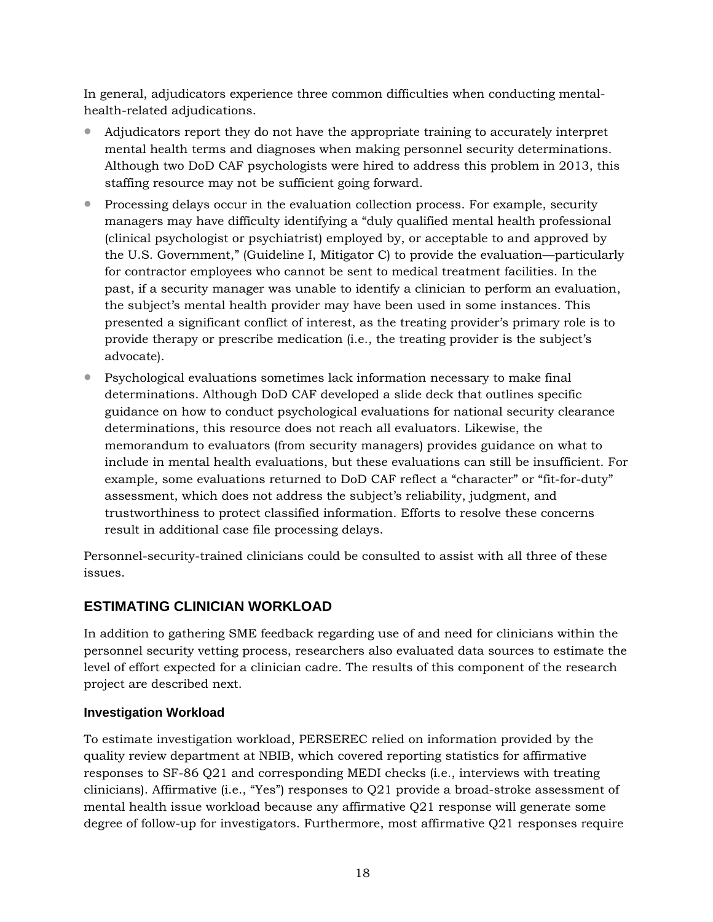In general, adjudicators experience three common difficulties when conducting mentalhealth-related adjudications.

- Adjudicators report they do not have the appropriate training to accurately interpret mental health terms and diagnoses when making personnel security determinations. Although two DoD CAF psychologists were hired to address this problem in 2013, this staffing resource may not be sufficient going forward.
- Processing delays occur in the evaluation collection process. For example, security managers may have difficulty identifying a "duly qualified mental health professional (clinical psychologist or psychiatrist) employed by, or acceptable to and approved by the U.S. Government," (Guideline I, Mitigator C) to provide the evaluation—particularly for contractor employees who cannot be sent to medical treatment facilities. In the past, if a security manager was unable to identify a clinician to perform an evaluation, the subject's mental health provider may have been used in some instances. This presented a significant conflict of interest, as the treating provider's primary role is to provide therapy or prescribe medication (i.e., the treating provider is the subject's advocate).
- Psychological evaluations sometimes lack information necessary to make final determinations. Although DoD CAF developed a slide deck that outlines specific guidance on how to conduct psychological evaluations for national security clearance determinations, this resource does not reach all evaluators. Likewise, the memorandum to evaluators (from security managers) provides guidance on what to include in mental health evaluations, but these evaluations can still be insufficient. For example, some evaluations returned to DoD CAF reflect a "character" or "fit-for-duty" assessment, which does not address the subject's reliability, judgment, and trustworthiness to protect classified information. Efforts to resolve these concerns result in additional case file processing delays.

Personnel-security-trained clinicians could be consulted to assist with all three of these issues.

#### <span id="page-17-0"></span>**ESTIMATING CLINICIAN WORKLOAD**

In addition to gathering SME feedback regarding use of and need for clinicians within the personnel security vetting process, researchers also evaluated data sources to estimate the level of effort expected for a clinician cadre. The results of this component of the research project are described next.

#### <span id="page-17-1"></span>**Investigation Workload**

To estimate investigation workload, PERSEREC relied on information provided by the quality review department at NBIB, which covered reporting statistics for affirmative responses to SF-86 Q21 and corresponding MEDI checks (i.e., interviews with treating clinicians). Affirmative (i.e., "Yes") responses to Q21 provide a broad-stroke assessment of mental health issue workload because any affirmative Q21 response will generate some degree of follow-up for investigators. Furthermore, most affirmative Q21 responses require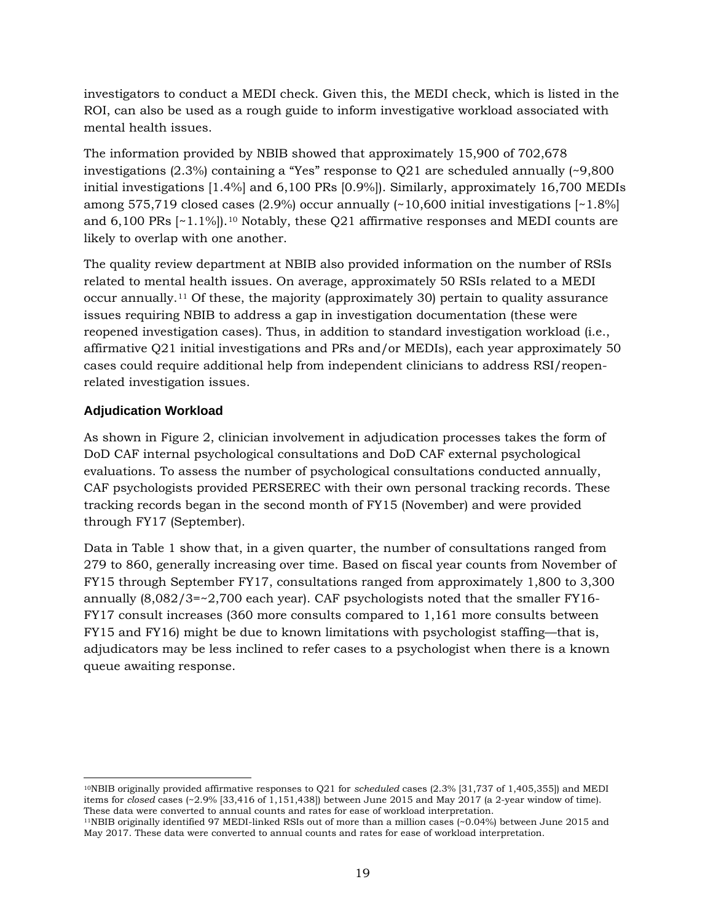investigators to conduct a MEDI check. Given this, the MEDI check, which is listed in the ROI, can also be used as a rough guide to inform investigative workload associated with mental health issues.

The information provided by NBIB showed that approximately 15,900 of 702,678 investigations  $(2.3\%)$  containing a "Yes" response to Q21 are scheduled annually  $\sim 9,800$ initial investigations [1.4%] and 6,100 PRs [0.9%]). Similarly, approximately 16,700 MEDIs among 575,719 closed cases (2.9%) occur annually  $\left(\frac{10,600}{10,600}\right)$  initial investigations  $\left[\frac{18}{6}\right]$ and  $6,100$  $6,100$  $6,100$  PRs  $\lceil 2.11\% \rceil$ .<sup>10</sup> Notably, these Q21 affirmative responses and MEDI counts are likely to overlap with one another.

The quality review department at NBIB also provided information on the number of RSIs related to mental health issues. On average, approximately 50 RSIs related to a MEDI occur annually.[11](#page-18-2) Of these, the majority (approximately 30) pertain to quality assurance issues requiring NBIB to address a gap in investigation documentation (these were reopened investigation cases). Thus, in addition to standard investigation workload (i.e., affirmative Q21 initial investigations and PRs and/or MEDIs), each year approximately 50 cases could require additional help from independent clinicians to address RSI/reopenrelated investigation issues.

#### <span id="page-18-0"></span>**Adjudication Workload**

As shown in Figure 2, clinician involvement in adjudication processes takes the form of DoD CAF internal psychological consultations and DoD CAF external psychological evaluations. To assess the number of psychological consultations conducted annually, CAF psychologists provided PERSEREC with their own personal tracking records. These tracking records began in the second month of FY15 (November) and were provided through FY17 (September).

Data in Table 1 show that, in a given quarter, the number of consultations ranged from 279 to 860, generally increasing over time. Based on fiscal year counts from November of FY15 through September FY17, consultations ranged from approximately 1,800 to 3,300 annually (8,082/3=~2,700 each year). CAF psychologists noted that the smaller FY16- FY17 consult increases (360 more consults compared to 1,161 more consults between FY15 and FY16) might be due to known limitations with psychologist staffing—that is, adjudicators may be less inclined to refer cases to a psychologist when there is a known queue awaiting response.

<span id="page-18-1"></span> <sup>10</sup>NBIB originally provided affirmative responses to Q21 for *scheduled* cases (2.3% [31,737 of 1,405,355]) and MEDI items for *closed* cases (~2.9% [33,416 of 1,151,438]) between June 2015 and May 2017 (a 2-year window of time). These data were converted to annual counts and rates for ease of workload interpretation.

<span id="page-18-2"></span><sup>11</sup>NBIB originally identified 97 MEDI-linked RSIs out of more than a million cases (~0.04%) between June 2015 and May 2017. These data were converted to annual counts and rates for ease of workload interpretation.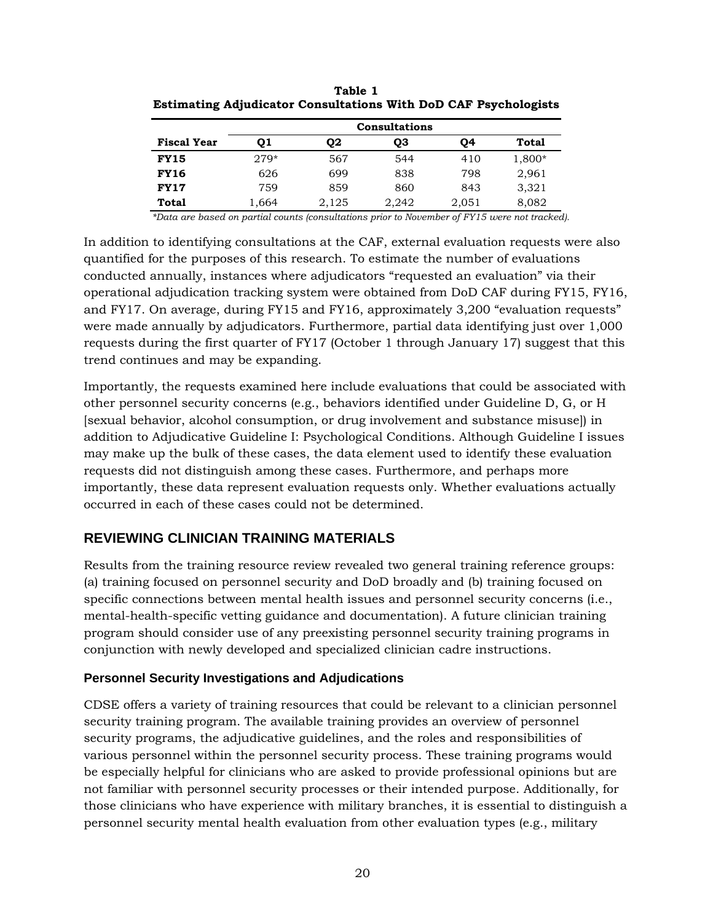|                    | <b>Consultations</b> |       |       |       |        |
|--------------------|----------------------|-------|-------|-------|--------|
| <b>Fiscal Year</b> | 01                   | Q2    | QЗ    | О4    | Total  |
| <b>FY15</b>        | $279*$               | 567   | 544   | 410   | 1,800* |
| <b>FY16</b>        | 626                  | 699   | 838   | 798   | 2,961  |
| <b>FY17</b>        | 759                  | 859   | 860   | 843   | 3,321  |
| Total              | 1,664                | 2,125 | 2,242 | 2,051 | 8,082  |

<span id="page-19-2"></span>**Table 1 Estimating Adjudicator Consultations With DoD CAF Psychologists**

*\*Data are based on partial counts (consultations prior to November of FY15 were not tracked).*

In addition to identifying consultations at the CAF, external evaluation requests were also quantified for the purposes of this research. To estimate the number of evaluations conducted annually, instances where adjudicators "requested an evaluation" via their operational adjudication tracking system were obtained from DoD CAF during FY15, FY16, and FY17. On average, during FY15 and FY16, approximately 3,200 "evaluation requests" were made annually by adjudicators. Furthermore, partial data identifying just over 1,000 requests during the first quarter of FY17 (October 1 through January 17) suggest that this trend continues and may be expanding.

Importantly, the requests examined here include evaluations that could be associated with other personnel security concerns (e.g., behaviors identified under Guideline D, G, or H [sexual behavior, alcohol consumption, or drug involvement and substance misuse]) in addition to Adjudicative Guideline I: Psychological Conditions. Although Guideline I issues may make up the bulk of these cases, the data element used to identify these evaluation requests did not distinguish among these cases. Furthermore, and perhaps more importantly, these data represent evaluation requests only. Whether evaluations actually occurred in each of these cases could not be determined.

# <span id="page-19-0"></span>**REVIEWING CLINICIAN TRAINING MATERIALS**

Results from the training resource review revealed two general training reference groups: (a) training focused on personnel security and DoD broadly and (b) training focused on specific connections between mental health issues and personnel security concerns (i.e., mental-health-specific vetting guidance and documentation). A future clinician training program should consider use of any preexisting personnel security training programs in conjunction with newly developed and specialized clinician cadre instructions.

#### <span id="page-19-1"></span>**Personnel Security Investigations and Adjudications**

CDSE offers a variety of training resources that could be relevant to a clinician personnel security training program. The available training provides an overview of personnel security programs, the adjudicative guidelines, and the roles and responsibilities of various personnel within the personnel security process. These training programs would be especially helpful for clinicians who are asked to provide professional opinions but are not familiar with personnel security processes or their intended purpose. Additionally, for those clinicians who have experience with military branches, it is essential to distinguish a personnel security mental health evaluation from other evaluation types (e.g., military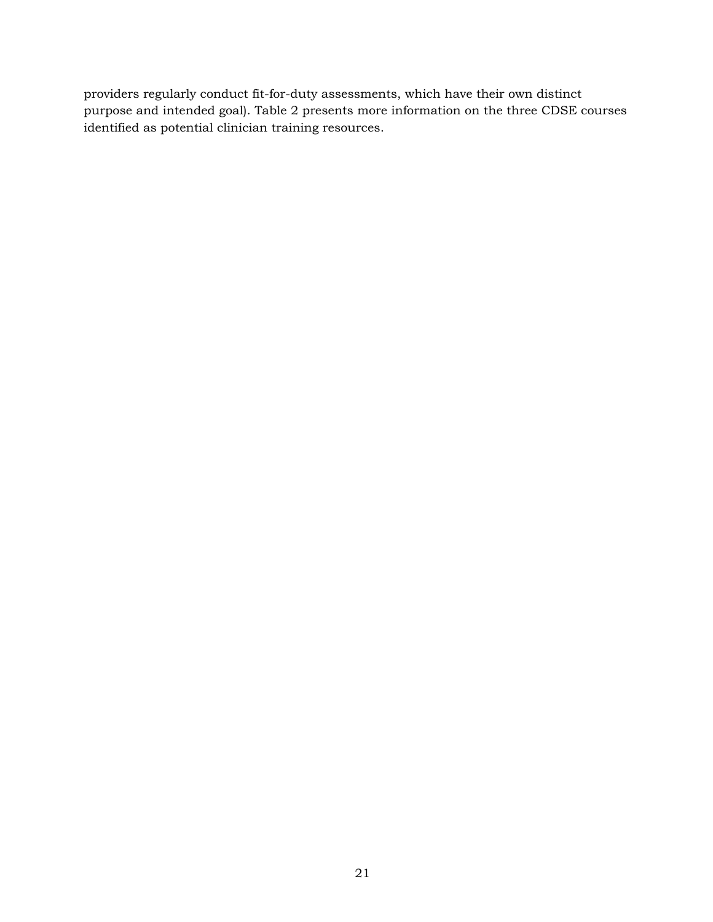providers regularly conduct fit-for-duty assessments, which have their own distinct purpose and intended goal). Table 2 presents more information on the three CDSE courses identified as potential clinician training resources.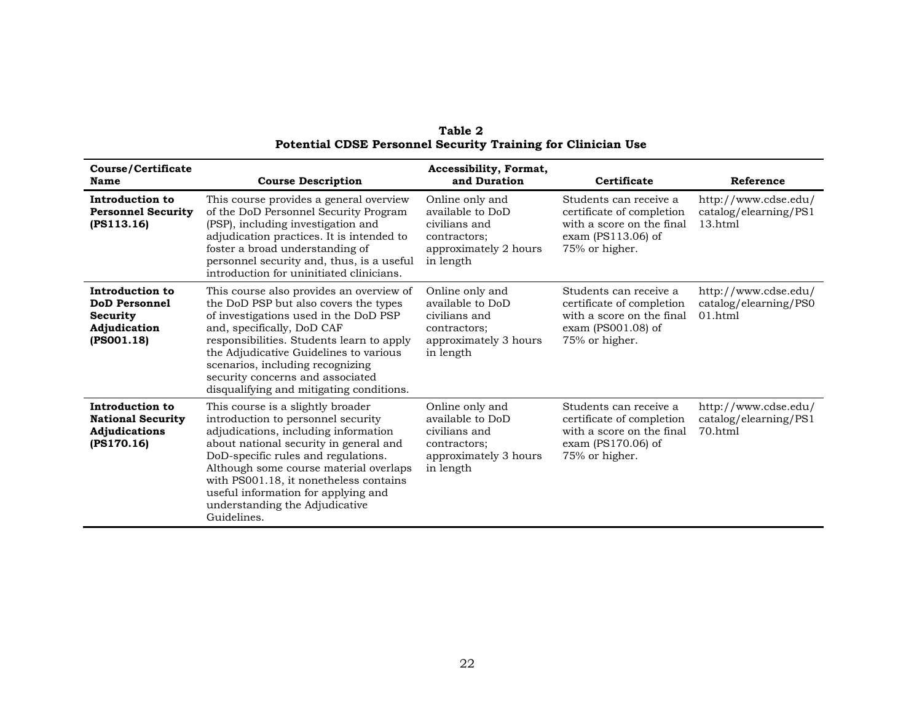<span id="page-21-0"></span>

| Course/Certificate<br>Name                                                               | <b>Course Description</b>                                                                                                                                                                                                                                                                                                                                                    | Accessibility, Format,<br>and Duration                                                                     | Certificate                                                                                                                | Reference                                                |
|------------------------------------------------------------------------------------------|------------------------------------------------------------------------------------------------------------------------------------------------------------------------------------------------------------------------------------------------------------------------------------------------------------------------------------------------------------------------------|------------------------------------------------------------------------------------------------------------|----------------------------------------------------------------------------------------------------------------------------|----------------------------------------------------------|
| Introduction to<br><b>Personnel Security</b><br>(PS113.16)                               | This course provides a general overview<br>of the DoD Personnel Security Program<br>(PSP), including investigation and<br>adjudication practices. It is intended to<br>foster a broad understanding of<br>personnel security and, thus, is a useful<br>introduction for uninitiated clinicians.                                                                              | Online only and<br>available to DoD<br>civilians and<br>contractors;<br>approximately 2 hours<br>in length | Students can receive a<br>certificate of completion<br>with a score on the final<br>exam $(PS113.06)$ of<br>75% or higher. | http://www.cdse.edu/<br>catalog/elearning/PS1<br>13.html |
| Introduction to<br><b>DoD</b> Personnel<br><b>Security</b><br>Adjudication<br>(PS001.18) | This course also provides an overview of<br>the DoD PSP but also covers the types<br>of investigations used in the DoD PSP<br>and, specifically, DoD CAF<br>responsibilities. Students learn to apply<br>the Adjudicative Guidelines to various<br>scenarios, including recognizing<br>security concerns and associated<br>disqualifying and mitigating conditions.          | Online only and<br>available to DoD<br>civilians and<br>contractors;<br>approximately 3 hours<br>in length | Students can receive a<br>certificate of completion<br>with a score on the final<br>exam (PS001.08) of<br>75% or higher.   | http://www.cdse.edu/<br>catalog/elearning/PS0<br>01.html |
| Introduction to<br><b>National Security</b><br><b>Adjudications</b><br>(PS170.16)        | This course is a slightly broader<br>introduction to personnel security<br>adjudications, including information<br>about national security in general and<br>DoD-specific rules and regulations.<br>Although some course material overlaps<br>with PS001.18, it nonetheless contains<br>useful information for applying and<br>understanding the Adjudicative<br>Guidelines. | Online only and<br>available to DoD<br>civilians and<br>contractors;<br>approximately 3 hours<br>in length | Students can receive a<br>certificate of completion<br>with a score on the final<br>exam $(PS170.06)$ of<br>75% or higher. | http://www.cdse.edu/<br>catalog/elearning/PS1<br>70.html |

**Table 2 Potential CDSE Personnel Security Training for Clinician Use**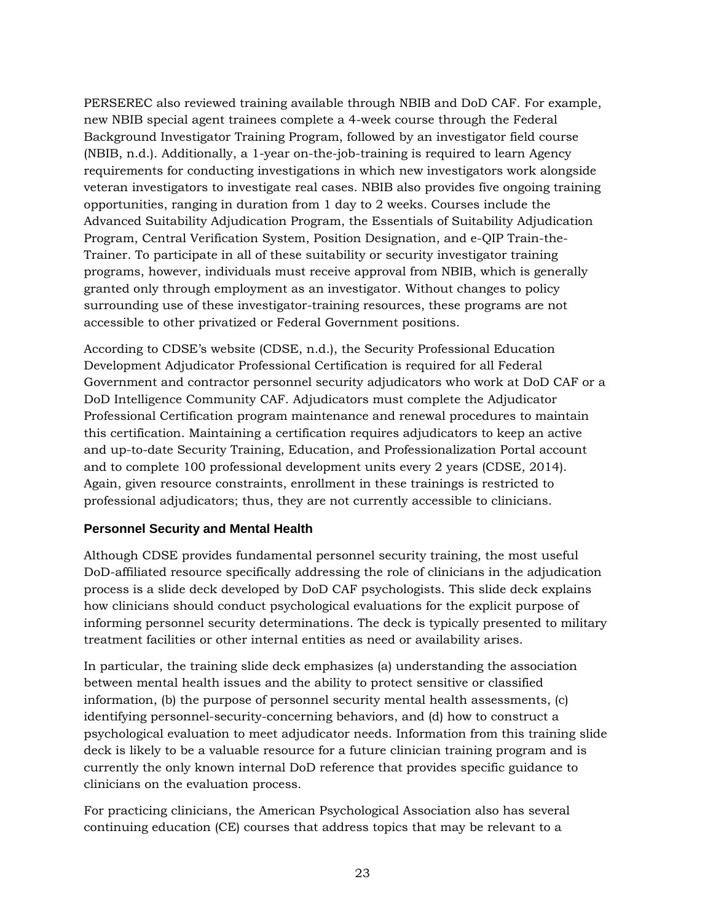PERSEREC also reviewed training available through NBIB and DoD CAF. For example, new NBIB special agent trainees complete a 4-week course through the Federal Background Investigator Training Program, followed by an investigator field course (NBIB, n.d.). Additionally, a 1-year on-the-job-training is required to learn Agency requirements for conducting investigations in which new investigators work alongside veteran investigators to investigate real cases. NBIB also provides five ongoing training opportunities, ranging in duration from 1 day to 2 weeks. Courses include the Advanced Suitability Adjudication Program, the Essentials of Suitability Adjudication Program, Central Verification System, Position Designation, and e-QIP Train-the-Trainer. To participate in all of these suitability or security investigator training programs, however, individuals must receive approval from NBIB, which is generally granted only through employment as an investigator. Without changes to policy surrounding use of these investigator-training resources, these programs are not accessible to other privatized or Federal Government positions.

According to CDSE's website (CDSE, n.d.), the Security Professional Education Development Adjudicator Professional Certification is required for all Federal Government and contractor personnel security adjudicators who work at DoD CAF or a DoD Intelligence Community CAF. Adjudicators must complete the Adjudicator Professional Certification program maintenance and renewal procedures to maintain this certification. Maintaining a certification requires adjudicators to keep an active and up-to-date Security Training, Education, and Professionalization Portal account and to complete 100 professional development units every 2 years (CDSE, 2014). Again, given resource constraints, enrollment in these trainings is restricted to professional adjudicators; thus, they are not currently accessible to clinicians.

#### <span id="page-22-0"></span>**Personnel Security and Mental Health**

Although CDSE provides fundamental personnel security training, the most useful DoD-affiliated resource specifically addressing the role of clinicians in the adjudication process is a slide deck developed by DoD CAF psychologists. This slide deck explains how clinicians should conduct psychological evaluations for the explicit purpose of informing personnel security determinations. The deck is typically presented to military treatment facilities or other internal entities as need or availability arises.

In particular, the training slide deck emphasizes (a) understanding the association between mental health issues and the ability to protect sensitive or classified information, (b) the purpose of personnel security mental health assessments, (c) identifying personnel-security-concerning behaviors, and (d) how to construct a psychological evaluation to meet adjudicator needs. Information from this training slide deck is likely to be a valuable resource for a future clinician training program and is currently the only known internal DoD reference that provides specific guidance to clinicians on the evaluation process.

For practicing clinicians, the American Psychological Association also has several continuing education (CE) courses that address topics that may be relevant to a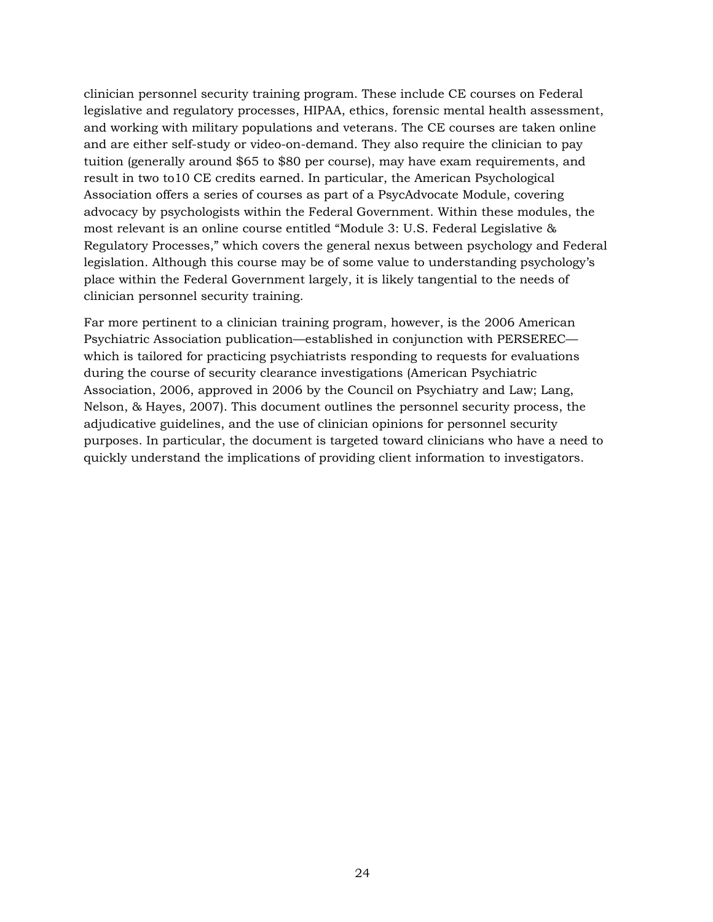clinician personnel security training program. These include CE courses on Federal legislative and regulatory processes, HIPAA, ethics, forensic mental health assessment, and working with military populations and veterans. The CE courses are taken online and are either self-study or video-on-demand. They also require the clinician to pay tuition (generally around \$65 to \$80 per course), may have exam requirements, and result in two to10 CE credits earned. In particular, the American Psychological Association offers a series of courses as part of a PsycAdvocate Module, covering advocacy by psychologists within the Federal Government. Within these modules, the most relevant is an online course entitled "Module 3: U.S. Federal Legislative & Regulatory Processes," which covers the general nexus between psychology and Federal legislation. Although this course may be of some value to understanding psychology's place within the Federal Government largely, it is likely tangential to the needs of clinician personnel security training.

Far more pertinent to a clinician training program, however, is the 2006 American Psychiatric Association publication—established in conjunction with PERSEREC which is tailored for practicing psychiatrists responding to requests for evaluations during the course of security clearance investigations (American Psychiatric Association, 2006, approved in 2006 by the Council on Psychiatry and Law; Lang, Nelson, & Hayes, 2007). This document outlines the personnel security process, the adjudicative guidelines, and the use of clinician opinions for personnel security purposes. In particular, the document is targeted toward clinicians who have a need to quickly understand the implications of providing client information to investigators.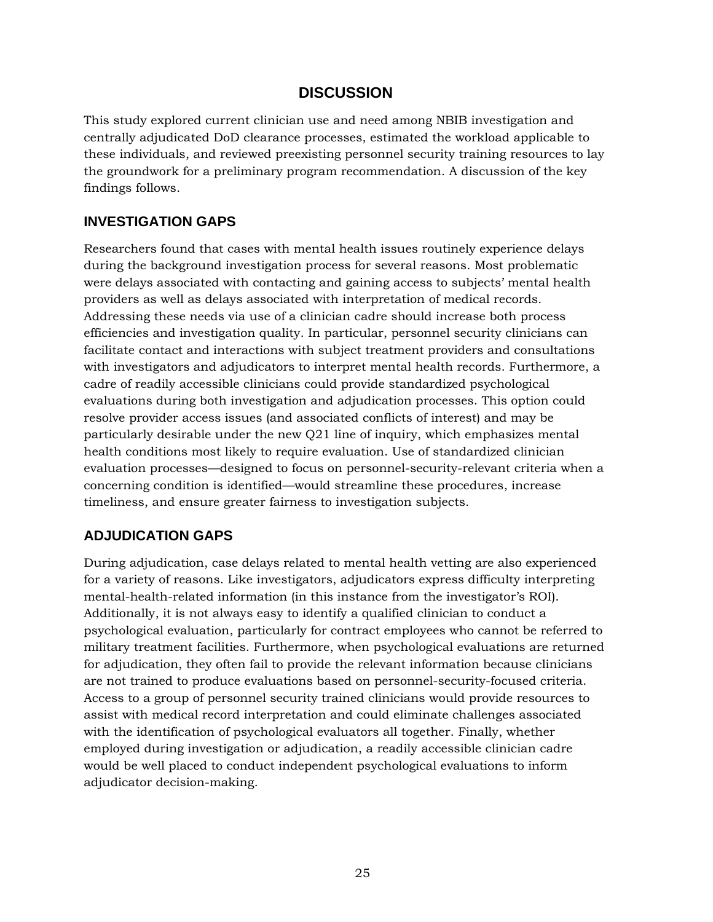# **DISCUSSION**

<span id="page-24-0"></span>This study explored current clinician use and need among NBIB investigation and centrally adjudicated DoD clearance processes, estimated the workload applicable to these individuals, and reviewed preexisting personnel security training resources to lay the groundwork for a preliminary program recommendation. A discussion of the key findings follows.

#### <span id="page-24-1"></span>**INVESTIGATION GAPS**

Researchers found that cases with mental health issues routinely experience delays during the background investigation process for several reasons. Most problematic were delays associated with contacting and gaining access to subjects' mental health providers as well as delays associated with interpretation of medical records. Addressing these needs via use of a clinician cadre should increase both process efficiencies and investigation quality. In particular, personnel security clinicians can facilitate contact and interactions with subject treatment providers and consultations with investigators and adjudicators to interpret mental health records. Furthermore, a cadre of readily accessible clinicians could provide standardized psychological evaluations during both investigation and adjudication processes. This option could resolve provider access issues (and associated conflicts of interest) and may be particularly desirable under the new Q21 line of inquiry, which emphasizes mental health conditions most likely to require evaluation. Use of standardized clinician evaluation processes—designed to focus on personnel-security-relevant criteria when a concerning condition is identified—would streamline these procedures, increase timeliness, and ensure greater fairness to investigation subjects.

# <span id="page-24-2"></span>**ADJUDICATION GAPS**

During adjudication, case delays related to mental health vetting are also experienced for a variety of reasons. Like investigators, adjudicators express difficulty interpreting mental-health-related information (in this instance from the investigator's ROI). Additionally, it is not always easy to identify a qualified clinician to conduct a psychological evaluation, particularly for contract employees who cannot be referred to military treatment facilities. Furthermore, when psychological evaluations are returned for adjudication, they often fail to provide the relevant information because clinicians are not trained to produce evaluations based on personnel-security-focused criteria. Access to a group of personnel security trained clinicians would provide resources to assist with medical record interpretation and could eliminate challenges associated with the identification of psychological evaluators all together. Finally, whether employed during investigation or adjudication, a readily accessible clinician cadre would be well placed to conduct independent psychological evaluations to inform adjudicator decision-making.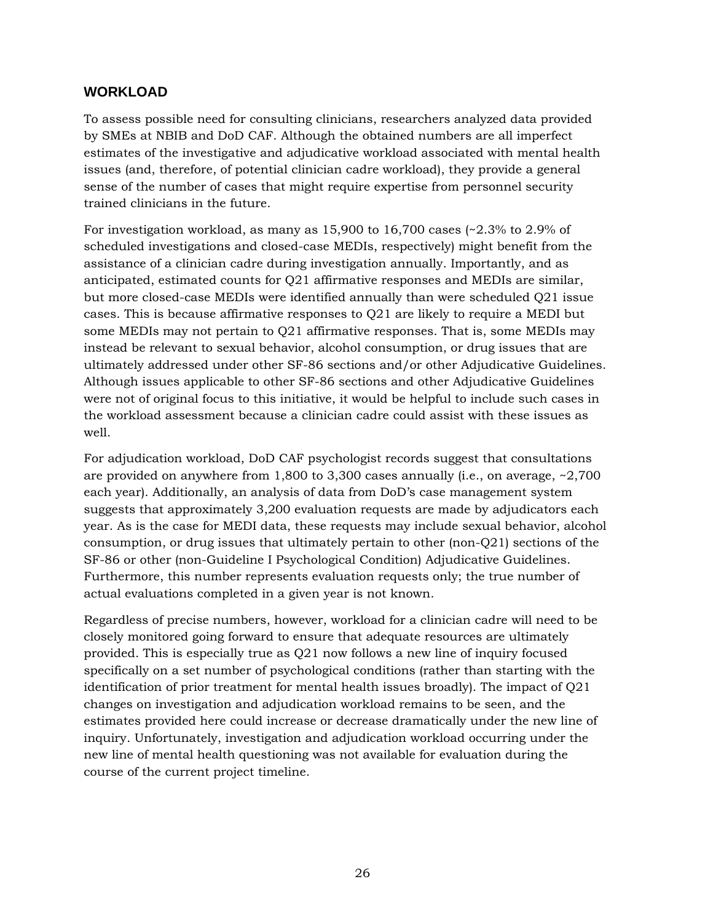#### <span id="page-25-0"></span>**WORKLOAD**

To assess possible need for consulting clinicians, researchers analyzed data provided by SMEs at NBIB and DoD CAF. Although the obtained numbers are all imperfect estimates of the investigative and adjudicative workload associated with mental health issues (and, therefore, of potential clinician cadre workload), they provide a general sense of the number of cases that might require expertise from personnel security trained clinicians in the future.

For investigation workload, as many as  $15,900$  to  $16,700$  cases  $\left(\frac{2.3}{6}$  to 2.9% of scheduled investigations and closed-case MEDIs, respectively) might benefit from the assistance of a clinician cadre during investigation annually. Importantly, and as anticipated, estimated counts for Q21 affirmative responses and MEDIs are similar, but more closed-case MEDIs were identified annually than were scheduled Q21 issue cases. This is because affirmative responses to Q21 are likely to require a MEDI but some MEDIs may not pertain to Q21 affirmative responses. That is, some MEDIs may instead be relevant to sexual behavior, alcohol consumption, or drug issues that are ultimately addressed under other SF-86 sections and/or other Adjudicative Guidelines. Although issues applicable to other SF-86 sections and other Adjudicative Guidelines were not of original focus to this initiative, it would be helpful to include such cases in the workload assessment because a clinician cadre could assist with these issues as well.

For adjudication workload, DoD CAF psychologist records suggest that consultations are provided on anywhere from 1,800 to 3,300 cases annually (i.e., on average, ~2,700 each year). Additionally, an analysis of data from DoD's case management system suggests that approximately 3,200 evaluation requests are made by adjudicators each year. As is the case for MEDI data, these requests may include sexual behavior, alcohol consumption, or drug issues that ultimately pertain to other (non-Q21) sections of the SF-86 or other (non-Guideline I Psychological Condition) Adjudicative Guidelines. Furthermore, this number represents evaluation requests only; the true number of actual evaluations completed in a given year is not known.

Regardless of precise numbers, however, workload for a clinician cadre will need to be closely monitored going forward to ensure that adequate resources are ultimately provided. This is especially true as Q21 now follows a new line of inquiry focused specifically on a set number of psychological conditions (rather than starting with the identification of prior treatment for mental health issues broadly). The impact of Q21 changes on investigation and adjudication workload remains to be seen, and the estimates provided here could increase or decrease dramatically under the new line of inquiry. Unfortunately, investigation and adjudication workload occurring under the new line of mental health questioning was not available for evaluation during the course of the current project timeline.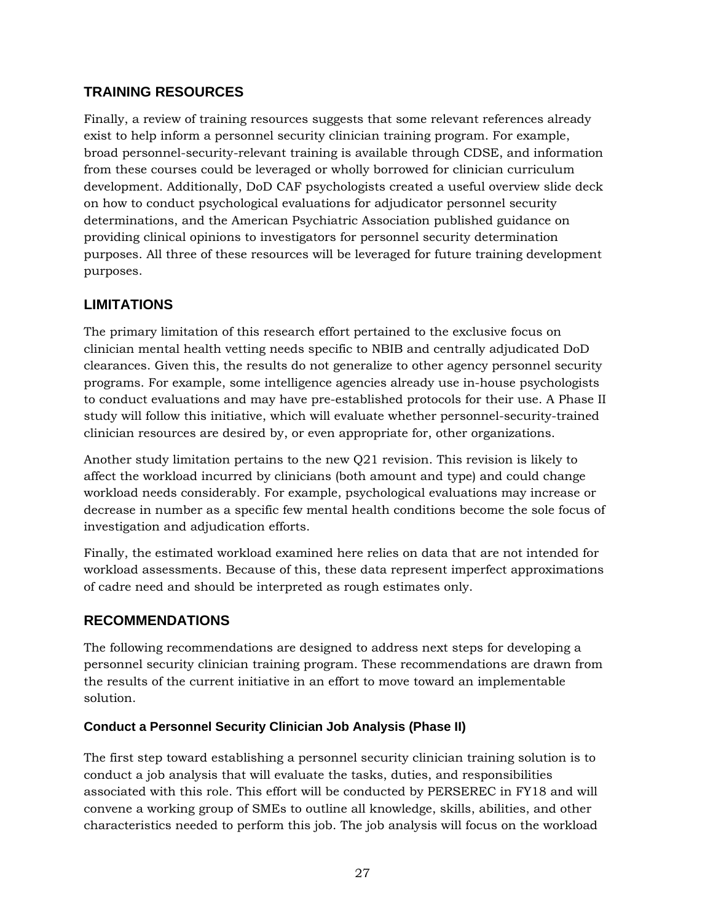# <span id="page-26-0"></span>**TRAINING RESOURCES**

Finally, a review of training resources suggests that some relevant references already exist to help inform a personnel security clinician training program. For example, broad personnel-security-relevant training is available through CDSE, and information from these courses could be leveraged or wholly borrowed for clinician curriculum development. Additionally, DoD CAF psychologists created a useful overview slide deck on how to conduct psychological evaluations for adjudicator personnel security determinations, and the American Psychiatric Association published guidance on providing clinical opinions to investigators for personnel security determination purposes. All three of these resources will be leveraged for future training development purposes.

## <span id="page-26-1"></span>**LIMITATIONS**

The primary limitation of this research effort pertained to the exclusive focus on clinician mental health vetting needs specific to NBIB and centrally adjudicated DoD clearances. Given this, the results do not generalize to other agency personnel security programs. For example, some intelligence agencies already use in-house psychologists to conduct evaluations and may have pre-established protocols for their use. A Phase II study will follow this initiative, which will evaluate whether personnel-security-trained clinician resources are desired by, or even appropriate for, other organizations.

Another study limitation pertains to the new Q21 revision. This revision is likely to affect the workload incurred by clinicians (both amount and type) and could change workload needs considerably. For example, psychological evaluations may increase or decrease in number as a specific few mental health conditions become the sole focus of investigation and adjudication efforts.

Finally, the estimated workload examined here relies on data that are not intended for workload assessments. Because of this, these data represent imperfect approximations of cadre need and should be interpreted as rough estimates only.

#### <span id="page-26-2"></span>**RECOMMENDATIONS**

The following recommendations are designed to address next steps for developing a personnel security clinician training program. These recommendations are drawn from the results of the current initiative in an effort to move toward an implementable solution.

#### <span id="page-26-3"></span>**Conduct a Personnel Security Clinician Job Analysis (Phase II)**

The first step toward establishing a personnel security clinician training solution is to conduct a job analysis that will evaluate the tasks, duties, and responsibilities associated with this role. This effort will be conducted by PERSEREC in FY18 and will convene a working group of SMEs to outline all knowledge, skills, abilities, and other characteristics needed to perform this job. The job analysis will focus on the workload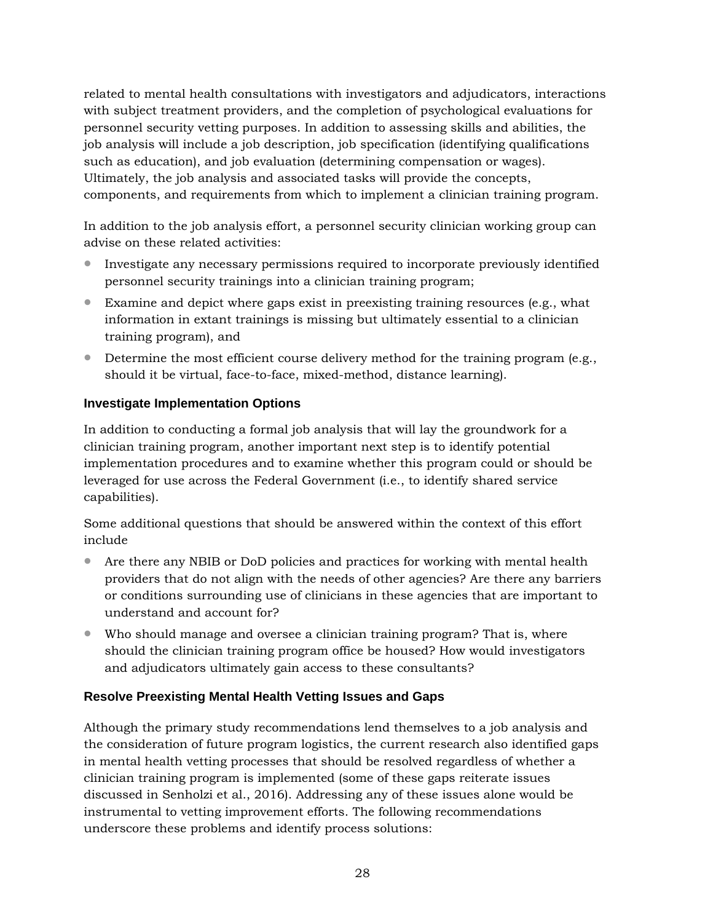related to mental health consultations with investigators and adjudicators, interactions with subject treatment providers, and the completion of psychological evaluations for personnel security vetting purposes. In addition to assessing skills and abilities, the job analysis will include a job description, job specification (identifying qualifications such as education), and job evaluation (determining compensation or wages). Ultimately, the job analysis and associated tasks will provide the concepts, components, and requirements from which to implement a clinician training program.

In addition to the job analysis effort, a personnel security clinician working group can advise on these related activities:

- Investigate any necessary permissions required to incorporate previously identified personnel security trainings into a clinician training program;
- Examine and depict where gaps exist in preexisting training resources (e.g., what information in extant trainings is missing but ultimately essential to a clinician training program), and
- Determine the most efficient course delivery method for the training program (e.g., should it be virtual, face-to-face, mixed-method, distance learning).

#### <span id="page-27-0"></span>**Investigate Implementation Options**

In addition to conducting a formal job analysis that will lay the groundwork for a clinician training program, another important next step is to identify potential implementation procedures and to examine whether this program could or should be leveraged for use across the Federal Government (i.e., to identify shared service capabilities).

Some additional questions that should be answered within the context of this effort include

- Are there any NBIB or DoD policies and practices for working with mental health providers that do not align with the needs of other agencies? Are there any barriers or conditions surrounding use of clinicians in these agencies that are important to understand and account for?
- Who should manage and oversee a clinician training program? That is, where should the clinician training program office be housed? How would investigators and adjudicators ultimately gain access to these consultants?

#### <span id="page-27-1"></span>**Resolve Preexisting Mental Health Vetting Issues and Gaps**

Although the primary study recommendations lend themselves to a job analysis and the consideration of future program logistics, the current research also identified gaps in mental health vetting processes that should be resolved regardless of whether a clinician training program is implemented (some of these gaps reiterate issues discussed in Senholzi et al., 2016). Addressing any of these issues alone would be instrumental to vetting improvement efforts. The following recommendations underscore these problems and identify process solutions: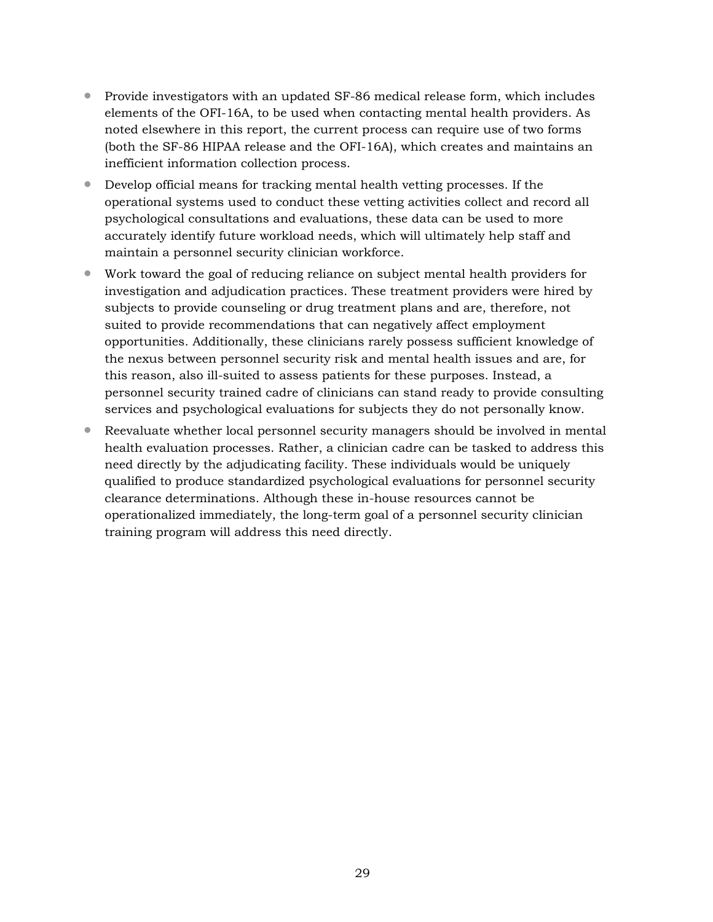- Provide investigators with an updated SF-86 medical release form, which includes elements of the OFI-16A, to be used when contacting mental health providers. As noted elsewhere in this report, the current process can require use of two forms (both the SF-86 HIPAA release and the OFI-16A), which creates and maintains an inefficient information collection process.
- Develop official means for tracking mental health vetting processes. If the operational systems used to conduct these vetting activities collect and record all psychological consultations and evaluations, these data can be used to more accurately identify future workload needs, which will ultimately help staff and maintain a personnel security clinician workforce.
- Work toward the goal of reducing reliance on subject mental health providers for investigation and adjudication practices. These treatment providers were hired by subjects to provide counseling or drug treatment plans and are, therefore, not suited to provide recommendations that can negatively affect employment opportunities. Additionally, these clinicians rarely possess sufficient knowledge of the nexus between personnel security risk and mental health issues and are, for this reason, also ill-suited to assess patients for these purposes. Instead, a personnel security trained cadre of clinicians can stand ready to provide consulting services and psychological evaluations for subjects they do not personally know.
- Reevaluate whether local personnel security managers should be involved in mental health evaluation processes. Rather, a clinician cadre can be tasked to address this need directly by the adjudicating facility. These individuals would be uniquely qualified to produce standardized psychological evaluations for personnel security clearance determinations. Although these in-house resources cannot be operationalized immediately, the long-term goal of a personnel security clinician training program will address this need directly.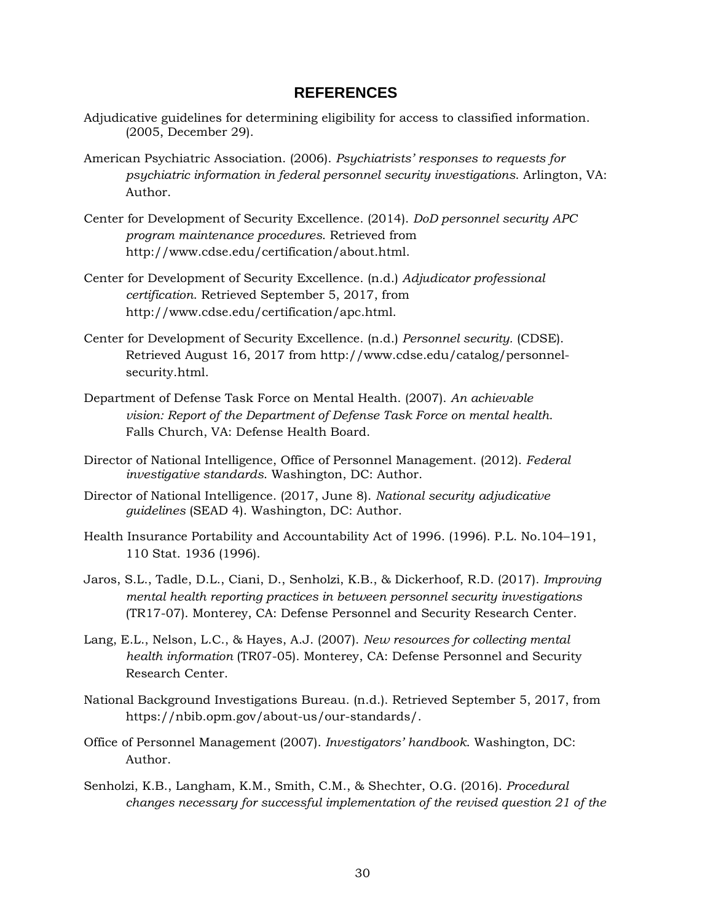#### **REFERENCES**

- <span id="page-29-0"></span>Adjudicative guidelines for determining eligibility for access to classified information. (2005, December 29).
- American Psychiatric Association. (2006). *Psychiatrists' responses to requests for psychiatric information in federal personnel security investigations*. Arlington, VA: Author.
- Center for Development of Security Excellence. (2014). *DoD personnel security APC program maintenance procedures*. Retrieved from http://www.cdse.edu/certification/about.html.
- Center for Development of Security Excellence. (n.d.) *Adjudicator professional certification*. Retrieved September 5, 2017, from http://www.cdse.edu/certification/apc.html.
- Center for Development of Security Excellence. (n.d.) *Personnel security.* (CDSE). Retrieved August 16, 2017 from http://www.cdse.edu/catalog/personnelsecurity.html.
- Department of Defense Task Force on Mental Health. (2007). *An achievable vision: Report of the Department of Defense Task Force on mental health*. Falls Church, VA: Defense Health Board.
- Director of National Intelligence, Office of Personnel Management. (2012). *Federal investigative standards*. Washington, DC: Author.
- Director of National Intelligence. (2017, June 8). *National security adjudicative guidelines* (SEAD 4). Washington, DC: Author.
- Health Insurance Portability and Accountability Act of 1996. (1996). P.L. No.104–191, 110 Stat. 1936 (1996).
- Jaros, S.L., Tadle, D.L., Ciani, D., Senholzi, K.B., & Dickerhoof, R.D. (2017). *Improving mental health reporting practices in between personnel security investigations* (TR17-07). Monterey, CA: Defense Personnel and Security Research Center.
- Lang, E.L., Nelson, L.C., & Hayes, A.J. (2007). *New resources for collecting mental health information* (TR07-05). Monterey, CA: Defense Personnel and Security Research Center.
- National Background Investigations Bureau. (n.d.). Retrieved September 5, 2017, from https://nbib.opm.gov/about-us/our-standards/.
- Office of Personnel Management (2007). *Investigators' handbook*. Washington, DC: Author.
- Senholzi, K.B., Langham, K.M., Smith, C.M., & Shechter, O.G. (2016). *Procedural changes necessary for successful implementation of the revised question 21 of the*